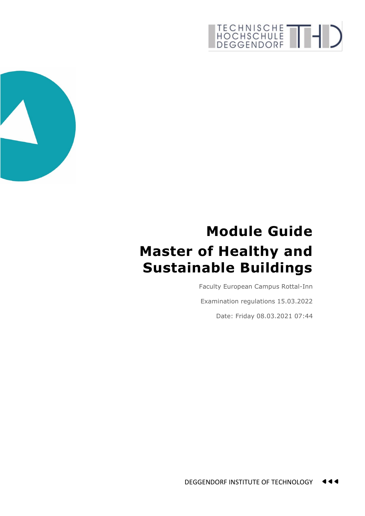

## **Module Guide Master of Healthy and Sustainable Buildings**

Faculty European Campus Rottal-Inn

Examination regulations 15.03.2022

Date: Friday 08.03.2021 07:44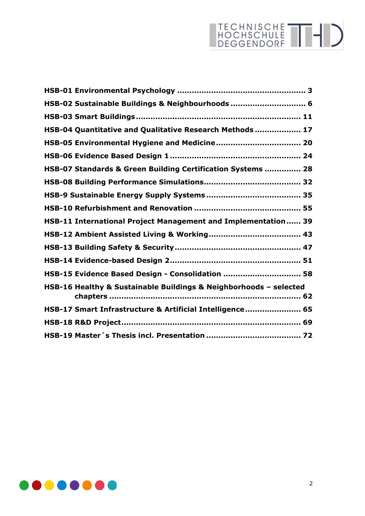| HSB-02 Sustainable Buildings & Neighbourhoods  6                  |  |
|-------------------------------------------------------------------|--|
|                                                                   |  |
| HSB-04 Quantitative and Qualitative Research Methods  17          |  |
|                                                                   |  |
|                                                                   |  |
| HSB-07 Standards & Green Building Certification Systems  28       |  |
|                                                                   |  |
|                                                                   |  |
|                                                                   |  |
| HSB-11 International Project Management and Implementation 39     |  |
|                                                                   |  |
|                                                                   |  |
|                                                                   |  |
| HSB-15 Evidence Based Design - Consolidation  58                  |  |
| HSB-16 Healthy & Sustainable Buildings & Neighborhoods - selected |  |
| HSB-17 Smart Infrastructure & Artificial Intelligence 65          |  |
|                                                                   |  |
|                                                                   |  |

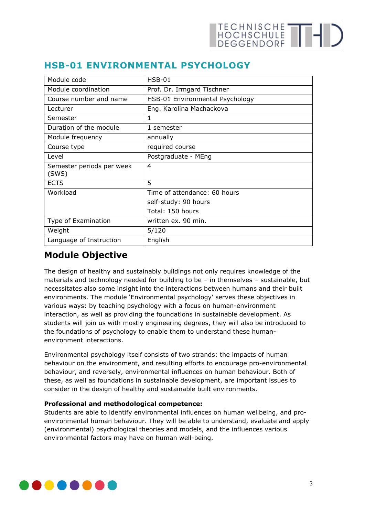<span id="page-2-0"></span>

|  | <b>HSB-01 ENVIRONMENTAL PSYCHOLOGY</b> |  |
|--|----------------------------------------|--|
|--|----------------------------------------|--|

| Module code                        | $HSB-01$                        |
|------------------------------------|---------------------------------|
| Module coordination                | Prof. Dr. Irmgard Tischner      |
| Course number and name             | HSB-01 Environmental Psychology |
| Lecturer                           | Eng. Karolina Machackova        |
| Semester                           | 1                               |
| Duration of the module             | 1 semester                      |
| Module frequency                   | annually                        |
| Course type                        | required course                 |
| Level                              | Postgraduate - MEng             |
| Semester periods per week<br>(SWS) | $\overline{4}$                  |
| <b>ECTS</b>                        | 5                               |
| Workload                           | Time of attendance: 60 hours    |
|                                    | self-study: 90 hours            |
|                                    | Total: 150 hours                |
| Type of Examination                | written ex. 90 min.             |
| Weight                             | 5/120                           |
| Language of Instruction            | English                         |

## **Module Objective**

The design of healthy and sustainably buildings not only requires knowledge of the materials and technology needed for building to be – in themselves – sustainable, but necessitates also some insight into the interactions between humans and their built environments. The module 'Environmental psychology' serves these objectives in various ways: by teaching psychology with a focus on human-environment interaction, as well as providing the foundations in sustainable development. As students will join us with mostly engineering degrees, they will also be introduced to the foundations of psychology to enable them to understand these humanenvironment interactions.

Environmental psychology itself consists of two strands: the impacts of human behaviour on the environment, and resulting efforts to encourage pro-environmental behaviour, and reversely, environmental influences on human behaviour. Both of these, as well as foundations in sustainable development, are important issues to consider in the design of healthy and sustainable built environments.

#### **Professional and methodological competence:**

Students are able to identify environmental influences on human wellbeing, and proenvironmental human behaviour. They will be able to understand, evaluate and apply (environmental) psychological theories and models, and the influences various environmental factors may have on human well-being.

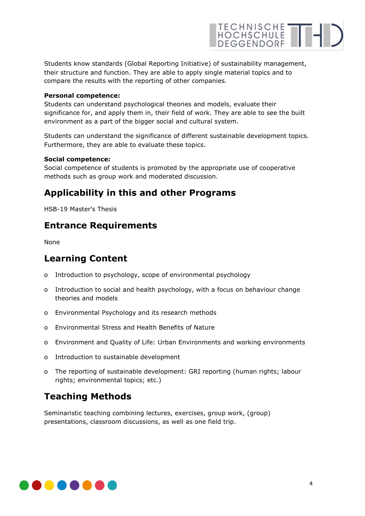

Students know standards (Global Reporting Initiative) of sustainability management, their structure and function. They are able to apply single material topics and to compare the results with the reporting of other companies.

#### **Personal competence:**

Students can understand psychological theories and models, evaluate their significance for, and apply them in, their field of work. They are able to see the built environment as a part of the bigger social and cultural system.

Students can understand the significance of different sustainable development topics. Furthermore, they are able to evaluate these topics.

#### **Social competence:**

Social competence of students is promoted by the appropriate use of cooperative methods such as group work and moderated discussion.

### **Applicability in this and other Programs**

HSB-19 Master's Thesis

## **Entrance Requirements**

None

## **Learning Content**

- o Introduction to psychology, scope of environmental psychology
- o Introduction to social and health psychology, with a focus on behaviour change theories and models
- o Environmental Psychology and its research methods
- o Environmental Stress and Health Benefits of Nature
- o Environment and Quality of Life: Urban Environments and working environments
- o Introduction to sustainable development
- o The reporting of sustainable development: GRI reporting (human rights; labour rights; environmental topics; etc.)

## **Teaching Methods**

Seminaristic teaching combining lectures, exercises, group work, (group) presentations, classroom discussions, as well as one field trip.

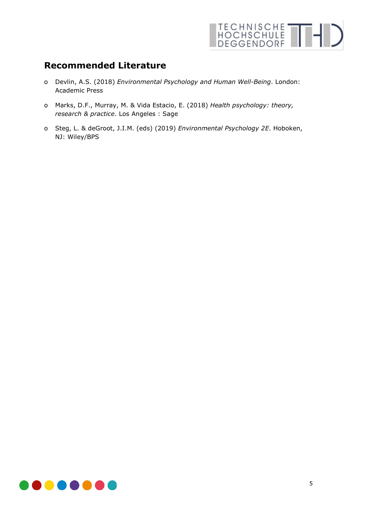

## **Recommended Literature**

- o Devlin, A.S. (2018) *Environmental Psychology and Human Well-Being*. London: Academic Press
- o Marks, D.F., Murray, M. & Vida Estacio, E. (2018) *Health psychology: theory, research & practice*. Los Angeles : Sage
- o Steg, L. & deGroot, J.I.M. (eds) (2019) *Environmental Psychology 2E*. Hoboken, NJ: Wiley/BPS

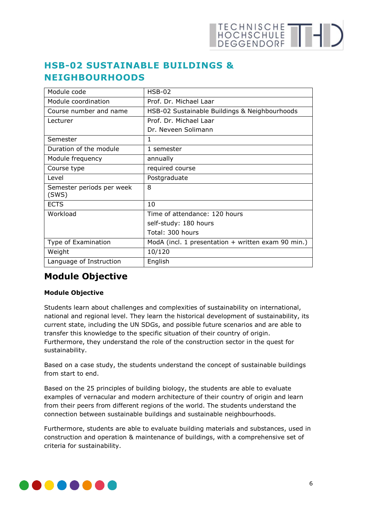

## <span id="page-5-0"></span>**HSB-02 SUSTAINABLE BUILDINGS & NEIGHBOURHOODS**

| Module code                        | $HSB-02$                                             |
|------------------------------------|------------------------------------------------------|
| Module coordination                | Prof. Dr. Michael Laar                               |
| Course number and name             | HSB-02 Sustainable Buildings & Neighbourhoods        |
| Lecturer                           | Prof. Dr. Michael Laar                               |
|                                    | Dr. Neveen Solimann                                  |
| Semester                           | 1                                                    |
| Duration of the module             | 1 semester                                           |
| Module frequency                   | annually                                             |
| Course type                        | required course                                      |
| Level                              | Postgraduate                                         |
| Semester periods per week<br>(SWS) | 8                                                    |
| <b>ECTS</b>                        | 10                                                   |
| Workload                           | Time of attendance: 120 hours                        |
|                                    | self-study: 180 hours                                |
|                                    | Total: 300 hours                                     |
| Type of Examination                | ModA (incl. 1 presentation $+$ written exam 90 min.) |
| Weight                             | 10/120                                               |
| Language of Instruction            | English                                              |

## **Module Objective**

#### **Module Objective**

Students learn about challenges and complexities of sustainability on international, national and regional level. They learn the historical development of sustainability, its current state, including the UN SDGs, and possible future scenarios and are able to transfer this knowledge to the specific situation of their country of origin. Furthermore, they understand the role of the construction sector in the quest for sustainability.

Based on a case study, the students understand the concept of sustainable buildings from start to end.

Based on the 25 principles of building biology, the students are able to evaluate examples of vernacular and modern architecture of their country of origin and learn from their peers from different regions of the world. The students understand the connection between sustainable buildings and sustainable neighbourhoods.

Furthermore, students are able to evaluate building materials and substances, used in construction and operation & maintenance of buildings, with a comprehensive set of criteria for sustainability.

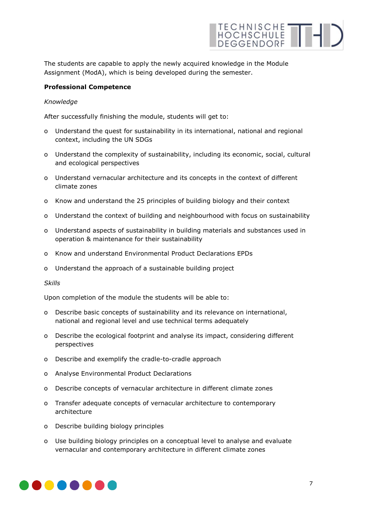

The students are capable to apply the newly acquired knowledge in the Module Assignment (ModA), which is being developed during the semester.

#### **Professional Competence**

#### *Knowledge*

After successfully finishing the module, students will get to:

- o Understand the quest for sustainability in its international, national and regional context, including the UN SDGs
- o Understand the complexity of sustainability, including its economic, social, cultural and ecological perspectives
- o Understand vernacular architecture and its concepts in the context of different climate zones
- o Know and understand the 25 principles of building biology and their context
- o Understand the context of building and neighbourhood with focus on sustainability
- o Understand aspects of sustainability in building materials and substances used in operation & maintenance for their sustainability
- o Know and understand Environmental Product Declarations EPDs
- o Understand the approach of a sustainable building project

#### *Skills*

Upon completion of the module the students will be able to:

- o Describe basic concepts of sustainability and its relevance on international, national and regional level and use technical terms adequately
- o Describe the ecological footprint and analyse its impact, considering different perspectives
- o Describe and exemplify the cradle-to-cradle approach
- o Analyse Environmental Product Declarations
- o Describe concepts of vernacular architecture in different climate zones
- o Transfer adequate concepts of vernacular architecture to contemporary architecture
- o Describe building biology principles
- o Use building biology principles on a conceptual level to analyse and evaluate vernacular and contemporary architecture in different climate zones

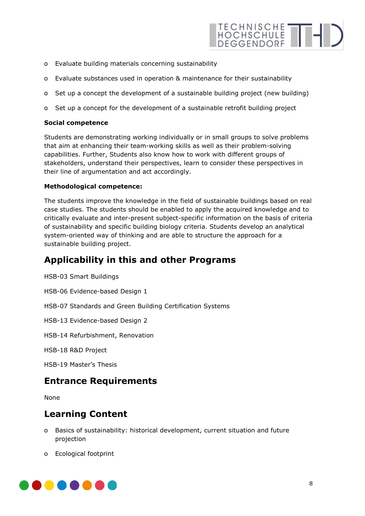

- o Evaluate building materials concerning sustainability
- o Evaluate substances used in operation & maintenance for their sustainability
- o Set up a concept the development of a sustainable building project (new building)
- o Set up a concept for the development of a sustainable retrofit building project

#### **Social competence**

Students are demonstrating working individually or in small groups to solve problems that aim at enhancing their team-working skills as well as their problem-solving capabilities. Further, Students also know how to work with different groups of stakeholders, understand their perspectives, learn to consider these perspectives in their line of argumentation and act accordingly.

#### **Methodological competence:**

The students improve the knowledge in the field of sustainable buildings based on real case studies. The students should be enabled to apply the acquired knowledge and to critically evaluate and inter-present subject-specific information on the basis of criteria of sustainability and specific building biology criteria. Students develop an analytical system-oriented way of thinking and are able to structure the approach for a sustainable building project.

## **Applicability in this and other Programs**

HSB-03 Smart Buildings

HSB-06 Evidence-based Design 1

HSB-07 Standards and Green Building Certification Systems

HSB-13 Evidence-based Design 2

HSB-14 Refurbishment, Renovation

HSB-18 R&D Project

HSB-19 Master's Thesis

## **Entrance Requirements**

None

## **Learning Content**

- o Basics of sustainability: historical development, current situation and future projection
- o Ecological footprint

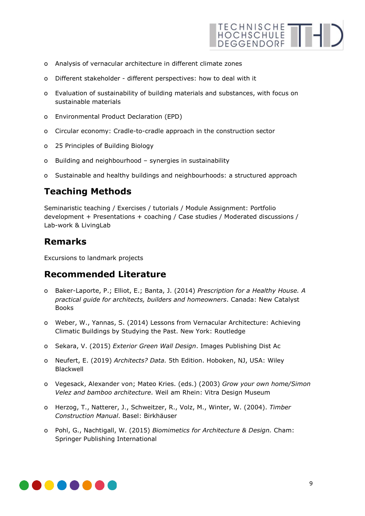

- o Analysis of vernacular architecture in different climate zones
- o Different stakeholder different perspectives: how to deal with it
- o Evaluation of sustainability of building materials and substances, with focus on sustainable materials
- o Environmental Product Declaration (EPD)
- o Circular economy: Cradle-to-cradle approach in the construction sector
- o 25 Principles of Building Biology
- o Building and neighbourhood synergies in sustainability
- o Sustainable and healthy buildings and neighbourhoods: a structured approach

## **Teaching Methods**

Seminaristic teaching / Exercises / tutorials / Module Assignment: Portfolio development + Presentations + coaching / Case studies / Moderated discussions / Lab-work & LivingLab

## **Remarks**

Excursions to landmark projects

## **Recommended Literature**

- o Baker-Laporte, P.; Elliot, E.; Banta, J. (2014) *Prescription for a Healthy House. A practical guide for architects, builders and homeowners*. Canada: New Catalyst Books
- o Weber, W., Yannas, S. (2014) Lessons from Vernacular Architecture: Achieving Climatic Buildings by Studying the Past. New York: Routledge
- o Sekara, V. (2015) *Exterior Green Wall Design*. Images Publishing Dist Ac
- o Neufert, E. (2019) *Architects? Data.* 5th Edition. Hoboken, NJ, USA: Wiley Blackwell
- o Vegesack, Alexander von; Mateo Kries. (eds.) (2003) *Grow your own home/Simon Velez and bamboo architecture*. Weil am Rhein: Vitra Design Museum
- o Herzog, T., Natterer, J., Schweitzer, R., Volz, M., Winter, W. (2004). *Timber Construction Manual*. Basel: Birkhäuser
- o Pohl, G., Nachtigall, W. (2015) *Biomimetics for Architecture & Design.* Cham: Springer Publishing International

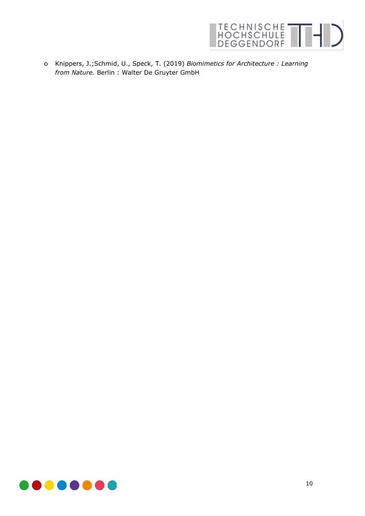

o Knippers, J.;Schmid, U., Speck, T. (2019) *Biomimetics for Architecture : Learning from Nature.* Berlin : Walter De Gruyter GmbH

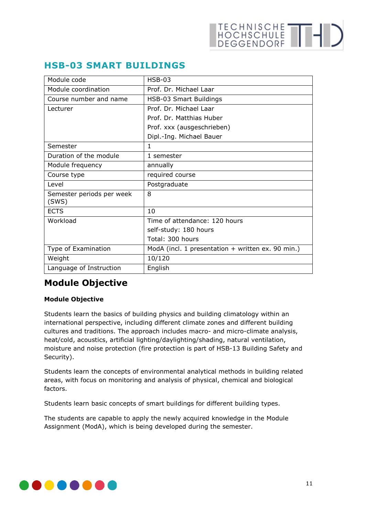## <span id="page-10-0"></span>**HSB-03 SMART BUILDINGS**

| Module code                        | $HSB-03$                                          |
|------------------------------------|---------------------------------------------------|
| Module coordination                | Prof. Dr. Michael Laar                            |
| Course number and name             | HSB-03 Smart Buildings                            |
| Lecturer                           | Prof. Dr. Michael Laar                            |
|                                    | Prof. Dr. Matthias Huber                          |
|                                    | Prof. xxx (ausgeschrieben)                        |
|                                    | Dipl.-Ing. Michael Bauer                          |
| Semester                           | 1                                                 |
| Duration of the module             | 1 semester                                        |
| Module frequency                   | annually                                          |
| Course type                        | required course                                   |
| Level                              | Postgraduate                                      |
| Semester periods per week<br>(SWS) | 8                                                 |
| <b>ECTS</b>                        | 10                                                |
| Workload                           | Time of attendance: 120 hours                     |
|                                    | self-study: 180 hours                             |
|                                    | Total: 300 hours                                  |
| Type of Examination                | ModA (incl. 1 presentation + written ex. 90 min.) |
| Weight                             | 10/120                                            |
| Language of Instruction            | English                                           |

## **Module Objective**

#### **Module Objective**

Students learn the basics of building physics and building climatology within an international perspective, including different climate zones and different building cultures and traditions. The approach includes macro- and micro-climate analysis, heat/cold, acoustics, artificial lighting/daylighting/shading, natural ventilation, moisture and noise protection (fire protection is part of HSB-13 Building Safety and Security).

Students learn the concepts of environmental analytical methods in building related areas, with focus on monitoring and analysis of physical, chemical and biological factors.

Students learn basic concepts of smart buildings for different building types.

The students are capable to apply the newly acquired knowledge in the Module Assignment (ModA), which is being developed during the semester.

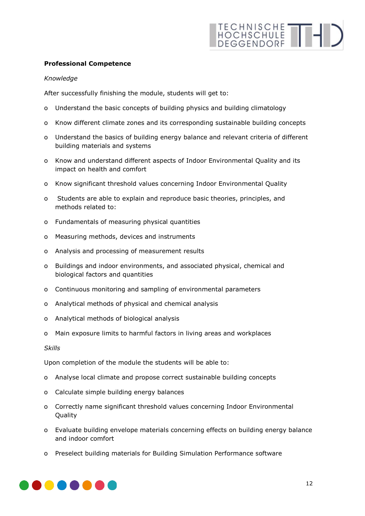#### **Professional Competence**

#### *Knowledge*

After successfully finishing the module, students will get to:

- o Understand the basic concepts of building physics and building climatology
- o Know different climate zones and its corresponding sustainable building concepts
- o Understand the basics of building energy balance and relevant criteria of different building materials and systems
- o Know and understand different aspects of Indoor Environmental Quality and its impact on health and comfort
- o Know significant threshold values concerning Indoor Environmental Quality
- o Students are able to explain and reproduce basic theories, principles, and methods related to:
- o Fundamentals of measuring physical quantities
- o Measuring methods, devices and instruments
- o Analysis and processing of measurement results
- o Buildings and indoor environments, and associated physical, chemical and biological factors and quantities
- o Continuous monitoring and sampling of environmental parameters
- o Analytical methods of physical and chemical analysis
- o Analytical methods of biological analysis
- o Main exposure limits to harmful factors in living areas and workplaces

*Skills* 

Upon completion of the module the students will be able to:

- o Analyse local climate and propose correct sustainable building concepts
- o Calculate simple building energy balances
- o Correctly name significant threshold values concerning Indoor Environmental Quality
- o Evaluate building envelope materials concerning effects on building energy balance and indoor comfort
- o Preselect building materials for Building Simulation Performance software

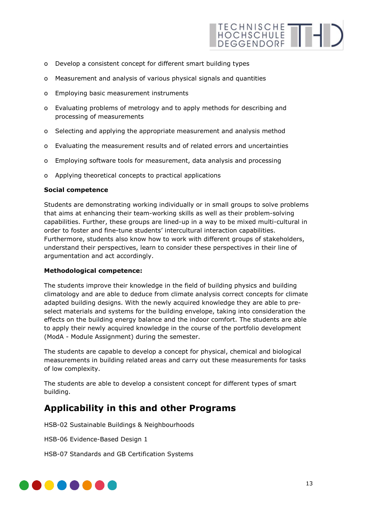

- o Develop a consistent concept for different smart building types
- o Measurement and analysis of various physical signals and quantities
- o Employing basic measurement instruments
- o Evaluating problems of metrology and to apply methods for describing and processing of measurements
- o Selecting and applying the appropriate measurement and analysis method
- o Evaluating the measurement results and of related errors and uncertainties
- o Employing software tools for measurement, data analysis and processing
- o Applying theoretical concepts to practical applications

#### **Social competence**

Students are demonstrating working individually or in small groups to solve problems that aims at enhancing their team-working skills as well as their problem-solving capabilities. Further, these groups are lined-up in a way to be mixed multi-cultural in order to foster and fine-tune students' intercultural interaction capabilities. Furthermore, students also know how to work with different groups of stakeholders, understand their perspectives, learn to consider these perspectives in their line of argumentation and act accordingly.

#### **Methodological competence:**

The students improve their knowledge in the field of building physics and building climatology and are able to deduce from climate analysis correct concepts for climate adapted building designs. With the newly acquired knowledge they are able to preselect materials and systems for the building envelope, taking into consideration the effects on the building energy balance and the indoor comfort. The students are able to apply their newly acquired knowledge in the course of the portfolio development (ModA - Module Assignment) during the semester.

The students are capable to develop a concept for physical, chemical and biological measurements in building related areas and carry out these measurements for tasks of low complexity.

The students are able to develop a consistent concept for different types of smart building.

## **Applicability in this and other Programs**

HSB-02 Sustainable Buildings & Neighbourhoods

HSB-06 Evidence-Based Design 1

HSB-07 Standards and GB Certification Systems

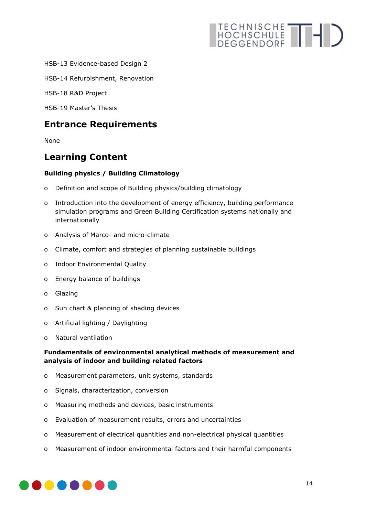HSB-13 Evidence-based Design 2

HSB-14 Refurbishment, Renovation

HSB-18 R&D Project

HSB-19 Master's Thesis

## **Entrance Requirements**

None

## **Learning Content**

#### **Building physics / Building Climatology**

- o Definition and scope of Building physics/building climatology
- o Introduction into the development of energy efficiency, building performance simulation programs and Green Building Certification systems nationally and internationally
- o Analysis of Marco- and micro-climate
- o Climate, comfort and strategies of planning sustainable buildings
- o Indoor Environmental Quality
- o Energy balance of buildings
- o Glazing
- o Sun chart & planning of shading devices
- o Artificial lighting / Daylighting
- o Natural ventilation

#### **Fundamentals of environmental analytical methods of measurement and analysis of indoor and building related factors**

- o Measurement parameters, unit systems, standards
- o Signals, characterization, conversion
- o Measuring methods and devices, basic instruments
- o Evaluation of measurement results, errors and uncertainties
- o Measurement of electrical quantities and non-electrical physical quantities
- o Measurement of indoor environmental factors and their harmful components

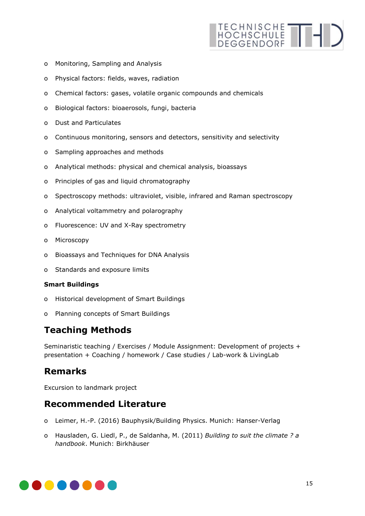- TECHNISCHE THE
- o Monitoring, Sampling and Analysis
- o Physical factors: fields, waves, radiation
- o Chemical factors: gases, volatile organic compounds and chemicals
- o Biological factors: bioaerosols, fungi, bacteria
- o Dust and Particulates
- o Continuous monitoring, sensors and detectors, sensitivity and selectivity
- o Sampling approaches and methods
- o Analytical methods: physical and chemical analysis, bioassays
- o Principles of gas and liquid chromatography
- o Spectroscopy methods: ultraviolet, visible, infrared and Raman spectroscopy
- o Analytical voltammetry and polarography
- o Fluorescence: UV and X-Ray spectrometry
- o Microscopy
- o Bioassays and Techniques for DNA Analysis
- o Standards and exposure limits

#### **Smart Buildings**

- o Historical development of Smart Buildings
- o Planning concepts of Smart Buildings

## **Teaching Methods**

Seminaristic teaching / Exercises / Module Assignment: Development of projects + presentation + Coaching / homework / Case studies / Lab-work & LivingLab

## **Remarks**

Excursion to landmark project

## **Recommended Literature**

- o Leimer, H.-P. (2016) Bauphysik/Building Physics. Munich: Hanser-Verlag
- o Hausladen, G. Liedl, P., de Saldanha, M. (2011) *Building to suit the climate ? a handbook*. Munich: Birkhäuser

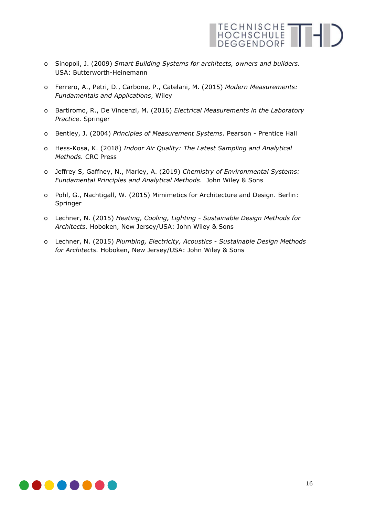

- o Sinopoli, J. (2009) *Smart Building Systems for architects, owners and builders*. USA: Butterworth-Heinemann
- o Ferrero, A., Petri, D., Carbone, P., Catelani, M. (2015) *Modern Measurements: Fundamentals and Applications*, Wiley
- o Bartiromo, R., De Vincenzi, M. (2016) *Electrical Measurements in the Laboratory Practice*. Springer
- o Bentley, J. (2004) *Principles of Measurement Systems*. Pearson Prentice Hall
- o Hess-Kosa, K. (2018) *Indoor Air Quality: The Latest Sampling and Analytical Methods.* CRC Press
- o Jeffrey S, Gaffney, N., Marley, A. (2019) *Chemistry of Environmental Systems: Fundamental Principles and Analytical Methods*. John Wiley & Sons
- o Pohl, G., Nachtigall, W. (2015) Mimimetics for Architecture and Design. Berlin: Springer
- o Lechner, N. (2015) *Heating, Cooling, Lighting - Sustainable Design Methods for Architects.* Hoboken, New Jersey/USA: John Wiley & Sons
- o Lechner, N. (2015) *Plumbing, Electricity, Acoustics - Sustainable Design Methods for Architects.* Hoboken, New Jersey/USA: John Wiley & Sons

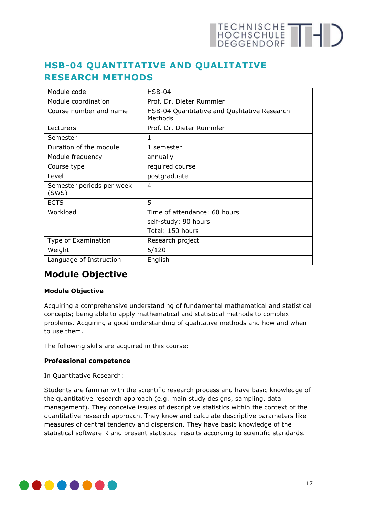

## <span id="page-16-0"></span>**HSB-04 QUANTITATIVE AND QUALITATIVE RESEARCH METHODS**

| Module code                        | $HSB-04$                                                |
|------------------------------------|---------------------------------------------------------|
| Module coordination                | Prof. Dr. Dieter Rummler                                |
| Course number and name             | HSB-04 Quantitative and Qualitative Research<br>Methods |
| Lecturers                          | Prof. Dr. Dieter Rummler                                |
| Semester                           | 1                                                       |
| Duration of the module             | 1 semester                                              |
| Module frequency                   | annually                                                |
| Course type                        | required course                                         |
| Level                              | postgraduate                                            |
| Semester periods per week<br>(SWS) | 4                                                       |
| <b>ECTS</b>                        | 5                                                       |
| Workload                           | Time of attendance: 60 hours                            |
|                                    | self-study: 90 hours                                    |
|                                    | Total: 150 hours                                        |
| Type of Examination                | Research project                                        |
| Weight                             | 5/120                                                   |
| Language of Instruction            | English                                                 |

## **Module Objective**

#### **Module Objective**

Acquiring a comprehensive understanding of fundamental mathematical and statistical concepts; being able to apply mathematical and statistical methods to complex problems. Acquiring a good understanding of qualitative methods and how and when to use them.

The following skills are acquired in this course:

#### **Professional competence**

In Quantitative Research:

Students are familiar with the scientific research process and have basic knowledge of the quantitative research approach (e.g. main study designs, sampling, data management). They conceive issues of descriptive statistics within the context of the quantitative research approach. They know and calculate descriptive parameters like measures of central tendency and dispersion. They have basic knowledge of the statistical software R and present statistical results according to scientific standards.

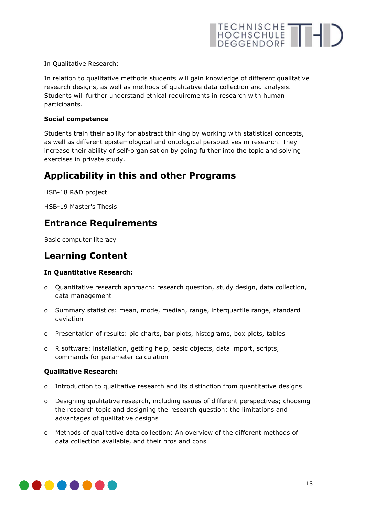In Qualitative Research:

In relation to qualitative methods students will gain knowledge of different qualitative research designs, as well as methods of qualitative data collection and analysis. Students will further understand ethical requirements in research with human participants.

#### **Social competence**

Students train their ability for abstract thinking by working with statistical concepts, as well as different epistemological and ontological perspectives in research. They increase their ability of self-organisation by going further into the topic and solving exercises in private study.

## **Applicability in this and other Programs**

HSB-18 R&D project

HSB-19 Master's Thesis

## **Entrance Requirements**

Basic computer literacy

## **Learning Content**

#### **In Quantitative Research:**

- o Quantitative research approach: research question, study design, data collection, data management
- o Summary statistics: mean, mode, median, range, interquartile range, standard deviation
- o Presentation of results: pie charts, bar plots, histograms, box plots, tables
- o R software: installation, getting help, basic objects, data import, scripts, commands for parameter calculation

#### **Qualitative Research:**

- o Introduction to qualitative research and its distinction from quantitative designs
- o Designing qualitative research, including issues of different perspectives; choosing the research topic and designing the research question; the limitations and advantages of qualitative designs
- o Methods of qualitative data collection: An overview of the different methods of data collection available, and their pros and cons

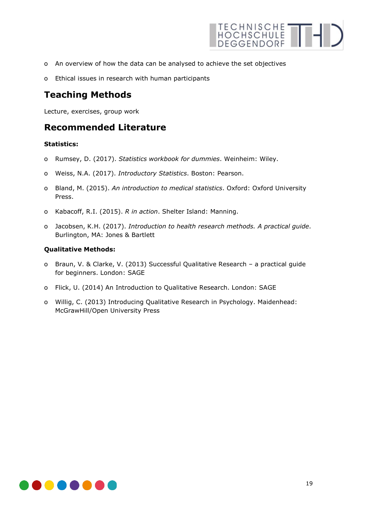

- o An overview of how the data can be analysed to achieve the set objectives
- o Ethical issues in research with human participants

## **Teaching Methods**

Lecture, exercises, group work

### **Recommended Literature**

#### **Statistics:**

- o Rumsey, D. (2017). *Statistics workbook for dummies*. Weinheim: Wiley.
- o Weiss, N.A. (2017). *Introductory Statistics*. Boston: Pearson.
- o Bland, M. (2015). *An introduction to medical statistics*. Oxford: Oxford University Press.
- o Kabacoff, R.I. (2015). *R in action*. Shelter Island: Manning.
- o Jacobsen, K.H. (2017). *Introduction to health research methods. A practical guide*. Burlington, MA: Jones & Bartlett

#### **Qualitative Methods:**

- o Braun, V. & Clarke, V. (2013) Successful Qualitative Research a practical guide for beginners. London: SAGE
- o Flick, U. (2014) An Introduction to Qualitative Research. London: SAGE
- o Willig, C. (2013) Introducing Qualitative Research in Psychology. Maidenhead: McGrawHill/Open University Press

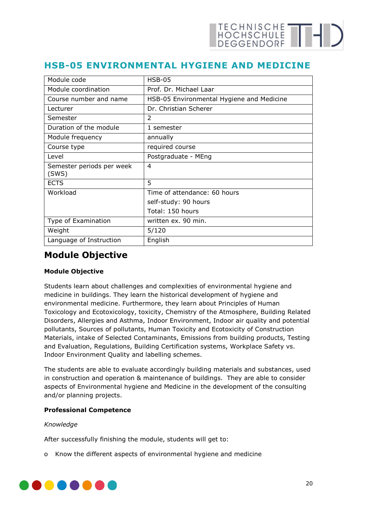## <span id="page-19-0"></span>**HSB-05 ENVIRONMENTAL HYGIENE AND MEDICINE**

| Module code                        | $HSB-05$                                  |
|------------------------------------|-------------------------------------------|
| Module coordination                | Prof. Dr. Michael Laar                    |
| Course number and name             | HSB-05 Environmental Hygiene and Medicine |
| Lecturer                           | Dr. Christian Scherer                     |
| Semester                           | $\mathcal{P}$                             |
| Duration of the module             | 1 semester                                |
| Module frequency                   | annually                                  |
| Course type                        | required course                           |
| Level                              | Postgraduate - MEng                       |
| Semester periods per week<br>(SWS) | 4                                         |
| <b>ECTS</b>                        | 5                                         |
| Workload                           | Time of attendance: 60 hours              |
|                                    | self-study: 90 hours                      |
|                                    | Total: 150 hours                          |
| Type of Examination                | written ex. 90 min.                       |
| Weight                             | 5/120                                     |
| Language of Instruction            | English                                   |

## **Module Objective**

#### **Module Objective**

Students learn about challenges and complexities of environmental hygiene and medicine in buildings. They learn the historical development of hygiene and environmental medicine. Furthermore, they learn about Principles of Human Toxicology and Ecotoxicology, toxicity, Chemistry of the Atmosphere, Building Related Disorders, Allergies and Asthma, Indoor Environment, Indoor air quality and potential pollutants, Sources of pollutants, Human Toxicity and Ecotoxicity of Construction Materials, intake of Selected Contaminants, Emissions from building products, Testing and Evaluation, Regulations, Building Certification systems, Workplace Safety vs. Indoor Environment Quality and labelling schemes.

The students are able to evaluate accordingly building materials and substances, used in construction and operation & maintenance of buildings. They are able to consider aspects of Environmental hygiene and Medicine in the development of the consulting and/or planning projects.

#### **Professional Competence**

#### *Knowledge*

After successfully finishing the module, students will get to:

o Know the different aspects of environmental hygiene and medicine

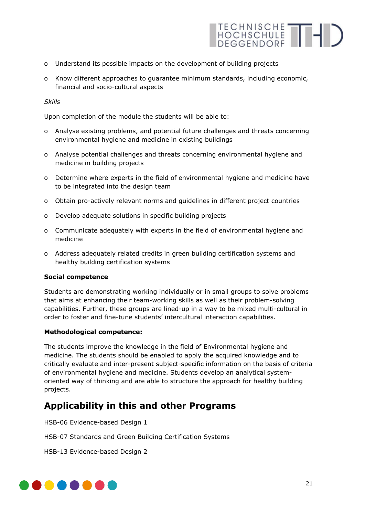- o Understand its possible impacts on the development of building projects
- o Know different approaches to guarantee minimum standards, including economic, financial and socio-cultural aspects

#### *Skills*

Upon completion of the module the students will be able to:

- o Analyse existing problems, and potential future challenges and threats concerning environmental hygiene and medicine in existing buildings
- o Analyse potential challenges and threats concerning environmental hygiene and medicine in building projects
- o Determine where experts in the field of environmental hygiene and medicine have to be integrated into the design team
- o Obtain pro-actively relevant norms and guidelines in different project countries
- o Develop adequate solutions in specific building projects
- o Communicate adequately with experts in the field of environmental hygiene and medicine
- o Address adequately related credits in green building certification systems and healthy building certification systems

#### **Social competence**

Students are demonstrating working individually or in small groups to solve problems that aims at enhancing their team-working skills as well as their problem-solving capabilities. Further, these groups are lined-up in a way to be mixed multi-cultural in order to foster and fine-tune students' intercultural interaction capabilities.

#### **Methodological competence:**

The students improve the knowledge in the field of Environmental hygiene and medicine. The students should be enabled to apply the acquired knowledge and to critically evaluate and inter-present subject-specific information on the basis of criteria of environmental hygiene and medicine. Students develop an analytical systemoriented way of thinking and are able to structure the approach for healthy building projects.

## **Applicability in this and other Programs**

HSB-06 Evidence-based Design 1

HSB-07 Standards and Green Building Certification Systems

HSB-13 Evidence-based Design 2

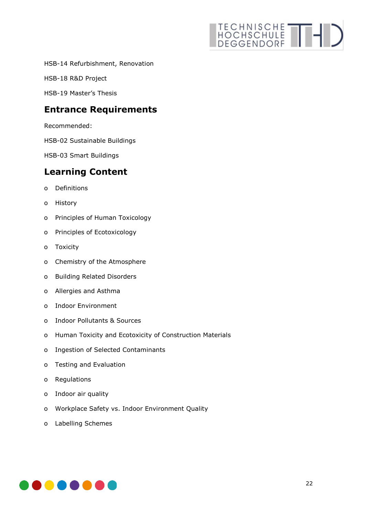HSB-14 Refurbishment, Renovation

HSB-18 R&D Project

HSB-19 Master's Thesis

## **Entrance Requirements**

Recommended:

HSB-02 Sustainable Buildings

HSB-03 Smart Buildings

## **Learning Content**

- o Definitions
- o History
- o Principles of Human Toxicology
- o Principles of Ecotoxicology
- o Toxicity
- o Chemistry of the Atmosphere
- o Building Related Disorders
- o Allergies and Asthma
- o Indoor Environment
- o Indoor Pollutants & Sources
- o Human Toxicity and Ecotoxicity of Construction Materials
- o Ingestion of Selected Contaminants
- o Testing and Evaluation
- o Regulations
- o Indoor air quality
- o Workplace Safety vs. Indoor Environment Quality
- o Labelling Schemes

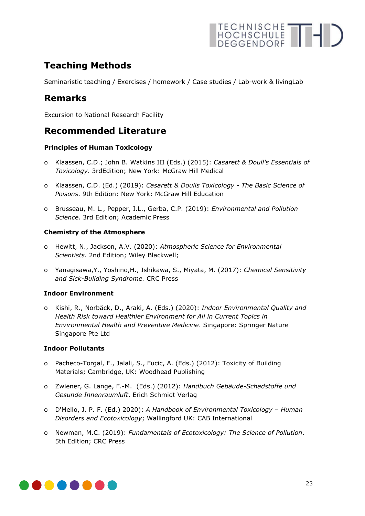## **Teaching Methods**

Seminaristic teaching / Exercises / homework / Case studies / Lab-work & livingLab

## **Remarks**

Excursion to National Research Facility

## **Recommended Literature**

#### **Principles of Human Toxicology**

- o Klaassen, C.D.; John B. Watkins III (Eds.) (2015): *Casarett & Doull's Essentials of Toxicology*. 3rdEdition; New York: McGraw Hill Medical
- o Klaassen, C.D. (Ed.) (2019): *Casarett & Doulls Toxicology - The Basic Science of Poisons*. 9th Edition: New York: McGraw Hill Education
- o Brusseau, M. L., Pepper, I.L., Gerba, C.P. (2019): *Environmental and Pollution Science*. 3rd Edition; Academic Press

#### **Chemistry of the Atmosphere**

- o Hewitt, N., Jackson, A.V. (2020): *Atmospheric Science for Environmental Scientists*. 2nd Edition; Wiley Blackwell;
- o Yanagisawa,Y., Yoshino,H., Ishikawa, S., Miyata, M. (2017): *Chemical Sensitivity and Sick-Building Syndrome.* CRC Press

#### **Indoor Environment**

o Kishi, R., Norbäck, D., Araki, A. (Eds.) (2020): *Indoor Environmental Quality and Health Risk toward Healthier Environment for All in Current Topics in Environmental Health and Preventive Medicine*. Singapore: Springer Nature Singapore Pte Ltd

#### **Indoor Pollutants**

- o Pacheco-Torgal, F., Jalali, S., Fucic, A. (Eds.) (2012): Toxicity of Building Materials; Cambridge, UK: Woodhead Publishing
- o Zwiener, G. Lange, F.-M. (Eds.) (2012): *Handbuch Gebäude-Schadstoffe und Gesunde Innenraumluft*. Erich Schmidt Verlag
- o D'Mello, J. P. F. (Ed.) 2020): *A Handbook of Environmental Toxicology – Human Disorders and Ecotoxicology*; Wallingford UK: CAB International
- o Newman, M.C. (2019): *Fundamentals of Ecotoxicology: The Science of Pollution*. 5th Edition; CRC Press

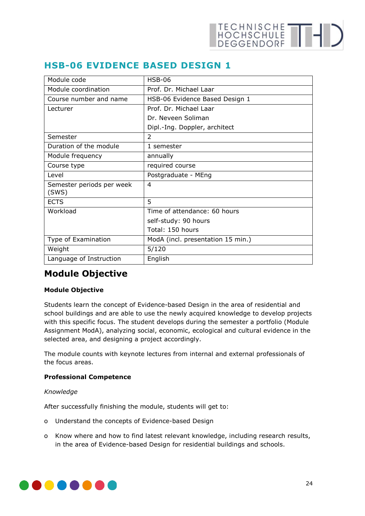| <b>HSB-06</b>                     |
|-----------------------------------|
| Prof. Dr. Michael Laar            |
| HSB-06 Evidence Based Design 1    |
| Prof. Dr. Michael Laar            |
| Dr. Neveen Soliman                |
| Dipl.-Ing. Doppler, architect     |
| $\mathfrak{D}$                    |
| 1 semester                        |
| annually                          |
| required course                   |
| Postgraduate - MEng               |
| 4                                 |
| 5                                 |
| Time of attendance: 60 hours      |
| self-study: 90 hours              |
| Total: 150 hours                  |
| ModA (incl. presentation 15 min.) |
| 5/120                             |
| English                           |
|                                   |

## <span id="page-23-0"></span>**HSB-06 EVIDENCE BASED DESIGN 1**

## **Module Objective**

#### **Module Objective**

Students learn the concept of Evidence-based Design in the area of residential and school buildings and are able to use the newly acquired knowledge to develop projects with this specific focus. The student develops during the semester a portfolio (Module Assignment ModA), analyzing social, economic, ecological and cultural evidence in the selected area, and designing a project accordingly.

The module counts with keynote lectures from internal and external professionals of the focus areas.

#### **Professional Competence**

#### *Knowledge*

After successfully finishing the module, students will get to:

- o Understand the concepts of Evidence-based Design
- o Know where and how to find latest relevant knowledge, including research results, in the area of Evidence-based Design for residential buildings and schools.

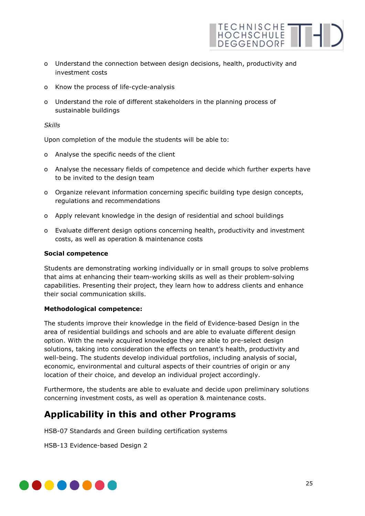o Understand the connection between design decisions, health, productivity and investment costs

TECHNISCHE THE

- o Know the process of life-cycle-analysis
- o Understand the role of different stakeholders in the planning process of sustainable buildings

*Skills* 

Upon completion of the module the students will be able to:

- o Analyse the specific needs of the client
- o Analyse the necessary fields of competence and decide which further experts have to be invited to the design team
- o Organize relevant information concerning specific building type design concepts, regulations and recommendations
- o Apply relevant knowledge in the design of residential and school buildings
- o Evaluate different design options concerning health, productivity and investment costs, as well as operation & maintenance costs

#### **Social competence**

Students are demonstrating working individually or in small groups to solve problems that aims at enhancing their team-working skills as well as their problem-solving capabilities. Presenting their project, they learn how to address clients and enhance their social communication skills.

#### **Methodological competence:**

The students improve their knowledge in the field of Evidence-based Design in the area of residential buildings and schools and are able to evaluate different design option. With the newly acquired knowledge they are able to pre-select design solutions, taking into consideration the effects on tenant's health, productivity and well-being. The students develop individual portfolios, including analysis of social, economic, environmental and cultural aspects of their countries of origin or any location of their choice, and develop an individual project accordingly.

Furthermore, the students are able to evaluate and decide upon preliminary solutions concerning investment costs, as well as operation & maintenance costs.

## **Applicability in this and other Programs**

HSB-07 Standards and Green building certification systems

HSB-13 Evidence-based Design 2

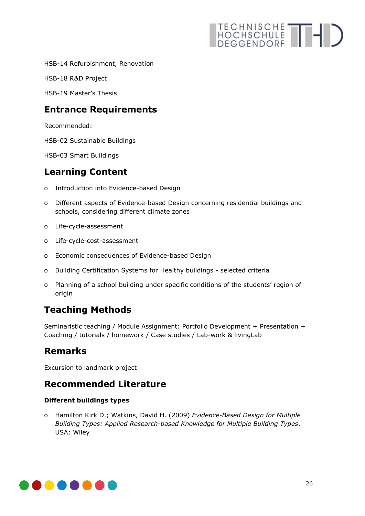# TECHNISCHE THIS

HSB-14 Refurbishment, Renovation

HSB-18 R&D Project

HSB-19 Master's Thesis

## **Entrance Requirements**

Recommended:

HSB-02 Sustainable Buildings

HSB-03 Smart Buildings

## **Learning Content**

- o Introduction into Evidence-based Design
- o Different aspects of Evidence-based Design concerning residential buildings and schools, considering different climate zones
- o Life-cycle-assessment
- o Life-cycle-cost-assessment
- o Economic consequences of Evidence-based Design
- o Building Certification Systems for Healthy buildings selected criteria
- o Planning of a school building under specific conditions of the students' region of origin

## **Teaching Methods**

Seminaristic teaching / Module Assignment: Portfolio Development + Presentation + Coaching / tutorials / homework / Case studies / Lab-work & livingLab

## **Remarks**

Excursion to landmark project

## **Recommended Literature**

#### **Different buildings types**

o Hamilton Kirk D.; Watkins, David H. (2009) *Evidence-Based Design for Multiple Building Types: Applied Research-based Knowledge for Multiple Building Types*. USA: Wiley

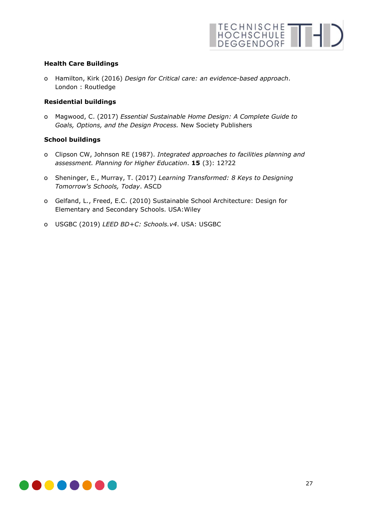#### **Health Care Buildings**

o Hamilton, Kirk (2016) *Design for Critical care: an evidence-based approach*. London : Routledge

#### **Residential buildings**

o Magwood, C. (2017) *Essential Sustainable Home Design: A Complete Guide to Goals, Options, and the Design Process.* New Society Publishers

#### **School buildings**

- o Clipson CW, Johnson RE (1987). *Integrated approaches to facilities planning and assessment. Planning for Higher Education*. **15** (3): 12?22
- o Sheninger, E., Murray, T. (2017) *Learning Transformed: 8 Keys to Designing Tomorrow's Schools, Today*. ASCD
- o Gelfand, L., Freed, E.C. (2010) Sustainable School Architecture: Design for Elementary and Secondary Schools. USA:Wiley
- o USGBC (2019) *LEED BD+C: Schools.v4*. USA: USGBC

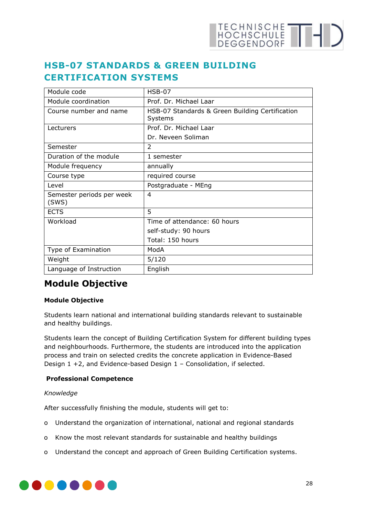## HOCHSCHULE THE

## <span id="page-27-0"></span>**HSB-07 STANDARDS & GREEN BUILDING CERTIFICATION SYSTEMS**

| Module code                        | $HSB-07$                                                   |
|------------------------------------|------------------------------------------------------------|
| Module coordination                | Prof. Dr. Michael Laar                                     |
| Course number and name             | HSB-07 Standards & Green Building Certification<br>Systems |
| Lecturers                          | Prof. Dr. Michael Laar                                     |
|                                    | Dr. Neveen Soliman                                         |
| Semester                           | $\overline{2}$                                             |
| Duration of the module             | 1 semester                                                 |
| Module frequency                   | annually                                                   |
| Course type                        | required course                                            |
| Level                              | Postgraduate - MEng                                        |
| Semester periods per week<br>(SWS) | 4                                                          |
| <b>ECTS</b>                        | 5                                                          |
| Workload                           | Time of attendance: 60 hours                               |
|                                    | self-study: 90 hours                                       |
|                                    | Total: 150 hours                                           |
| Type of Examination                | ModA                                                       |
| Weight                             | 5/120                                                      |
| Language of Instruction            | English                                                    |

## **Module Objective**

#### **Module Objective**

Students learn national and international building standards relevant to sustainable and healthy buildings.

Students learn the concept of Building Certification System for different building types and neighbourhoods. Furthermore, the students are introduced into the application process and train on selected credits the concrete application in Evidence-Based Design 1 +2, and Evidence-based Design 1 – Consolidation, if selected.

#### **Professional Competence**

#### *Knowledge*

After successfully finishing the module, students will get to:

- o Understand the organization of international, national and regional standards
- o Know the most relevant standards for sustainable and healthy buildings
- o Understand the concept and approach of Green Building Certification systems.

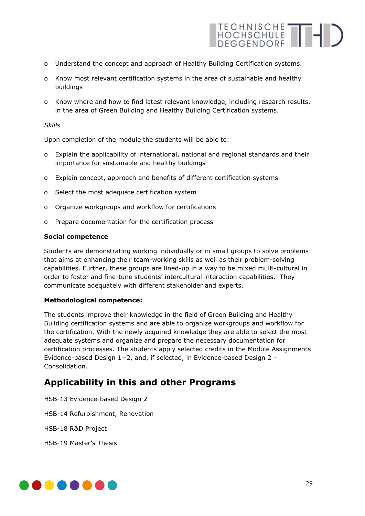

- o Understand the concept and approach of Healthy Building Certification systems.
- o Know most relevant certification systems in the area of sustainable and healthy buildings
- o Know where and how to find latest relevant knowledge, including research results, in the area of Green Building and Healthy Building Certification systems.

#### *Skills*

Upon completion of the module the students will be able to:

- o Explain the applicability of international, national and regional standards and their importance for sustainable and healthy buildings
- o Explain concept, approach and benefits of different certification systems
- o Select the most adequate certification system
- o Organize workgroups and workflow for certifications
- o Prepare documentation for the certification process

#### **Social competence**

Students are demonstrating working individually or in small groups to solve problems that aims at enhancing their team-working skills as well as their problem-solving capabilities. Further, these groups are lined-up in a way to be mixed multi-cultural in order to foster and fine-tune students' intercultural interaction capabilities. They communicate adequately with different stakeholder and experts.

#### **Methodological competence:**

The students improve their knowledge in the field of Green Building and Healthy Building certification systems and are able to organize workgroups and workflow for the certification. With the newly acquired knowledge they are able to select the most adequate systems and organize and prepare the necessary documentation for certification processes. The students apply selected credits in the Module Assignments Evidence-based Design 1+2, and, if selected, in Evidence-based Design 2 – Consolidation.

## **Applicability in this and other Programs**

HSB-13 Evidence-based Design 2 HSB-14 Refurbishment, Renovation HSB-18 R&D Project HSB-19 Master's Thesis

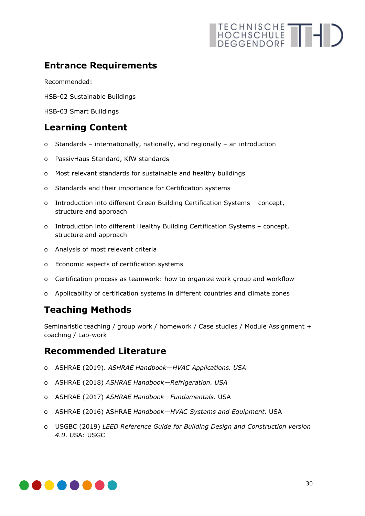## **Entrance Requirements**

Recommended:

HSB-02 Sustainable Buildings

HSB-03 Smart Buildings

## **Learning Content**

- o Standards internationally, nationally, and regionally an introduction
- o PassivHaus Standard, KfW standards
- o Most relevant standards for sustainable and healthy buildings
- o Standards and their importance for Certification systems
- o Introduction into different Green Building Certification Systems concept, structure and approach
- o Introduction into different Healthy Building Certification Systems concept, structure and approach
- o Analysis of most relevant criteria
- o Economic aspects of certification systems
- o Certification process as teamwork: how to organize work group and workflow
- o Applicability of certification systems in different countries and climate zones

## **Teaching Methods**

Seminaristic teaching / group work / homework / Case studies / Module Assignment + coaching / Lab-work

## **Recommended Literature**

- o ASHRAE (2019). *ASHRAE Handbook—HVAC Applications. USA*
- o ASHRAE (2018) *ASHRAE Handbook—Refrigeration. USA*
- o ASHRAE (2017) *ASHRAE Handbook—Fundamentals*. USA
- o ASHRAE (2016) ASHRAE *Handbook—HVAC Systems and Equipment*. USA
- o USGBC (2019) *LEED Reference Guide for Building Design and Construction version 4.0*. USA: USGC

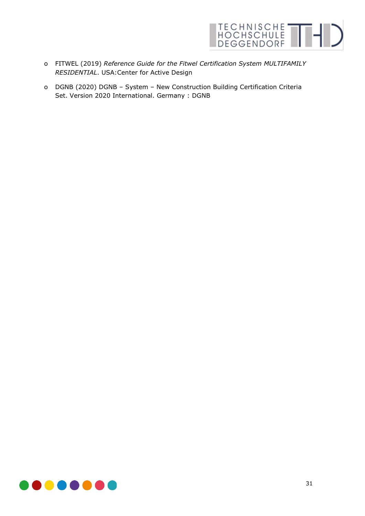

- o FITWEL (2019) *Reference Guide for the Fitwel Certification System MULTIFAMILY RESIDENTIAL*. USA:Center for Active Design
- o DGNB (2020) DGNB System New Construction Building Certification Criteria Set. Version 2020 International. Germany : DGNB

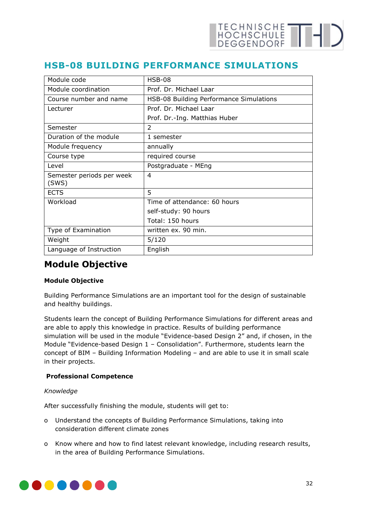## <span id="page-31-0"></span>**HSB-08 BUILDING PERFORMANCE SIMULATIONS**

| Module code                        | $HSB-08$                                |
|------------------------------------|-----------------------------------------|
| Module coordination                | Prof. Dr. Michael Laar                  |
| Course number and name             | HSB-08 Building Performance Simulations |
| Lecturer                           | Prof. Dr. Michael Laar                  |
|                                    | Prof. Dr.-Ing. Matthias Huber           |
| Semester                           | $\mathfrak{D}$                          |
| Duration of the module             | 1 semester                              |
| Module frequency                   | annually                                |
| Course type                        | required course                         |
| Level                              | Postgraduate - MEng                     |
| Semester periods per week<br>(SWS) | 4                                       |
| <b>ECTS</b>                        | 5                                       |
| Workload                           | Time of attendance: 60 hours            |
|                                    | self-study: 90 hours                    |
|                                    | Total: 150 hours                        |
| Type of Examination                | written ex. 90 min.                     |
| Weight                             | 5/120                                   |
| Language of Instruction            | English                                 |

## **Module Objective**

#### **Module Objective**

Building Performance Simulations are an important tool for the design of sustainable and healthy buildings.

Students learn the concept of Building Performance Simulations for different areas and are able to apply this knowledge in practice. Results of building performance simulation will be used in the module "Evidence-based Design 2" and, if chosen, in the Module "Evidence-based Design 1 – Consolidation". Furthermore, students learn the concept of BIM – Building Information Modeling – and are able to use it in small scale in their projects.

#### **Professional Competence**

#### *Knowledge*

After successfully finishing the module, students will get to:

- o Understand the concepts of Building Performance Simulations, taking into consideration different climate zones
- o Know where and how to find latest relevant knowledge, including research results, in the area of Building Performance Simulations.

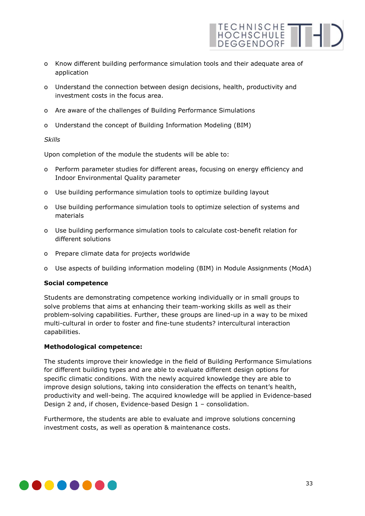

- o Know different building performance simulation tools and their adequate area of application
- o Understand the connection between design decisions, health, productivity and investment costs in the focus area.
- o Are aware of the challenges of Building Performance Simulations
- o Understand the concept of Building Information Modeling (BIM)

#### *Skills*

Upon completion of the module the students will be able to:

- o Perform parameter studies for different areas, focusing on energy efficiency and Indoor Environmental Quality parameter
- o Use building performance simulation tools to optimize building layout
- o Use building performance simulation tools to optimize selection of systems and materials
- o Use building performance simulation tools to calculate cost-benefit relation for different solutions
- o Prepare climate data for projects worldwide
- o Use aspects of building information modeling (BIM) in Module Assignments (ModA)

#### **Social competence**

Students are demonstrating competence working individually or in small groups to solve problems that aims at enhancing their team-working skills as well as their problem-solving capabilities. Further, these groups are lined-up in a way to be mixed multi-cultural in order to foster and fine-tune students? intercultural interaction capabilities.

#### **Methodological competence:**

The students improve their knowledge in the field of Building Performance Simulations for different building types and are able to evaluate different design options for specific climatic conditions. With the newly acquired knowledge they are able to improve design solutions, taking into consideration the effects on tenant's health, productivity and well-being. The acquired knowledge will be applied in Evidence-based Design 2 and, if chosen, Evidence-based Design 1 – consolidation.

Furthermore, the students are able to evaluate and improve solutions concerning investment costs, as well as operation & maintenance costs.

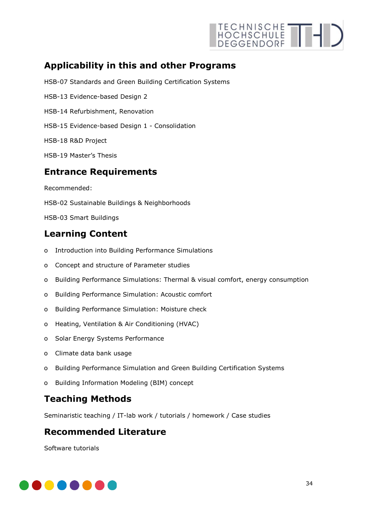

## **Applicability in this and other Programs**

HSB-07 Standards and Green Building Certification Systems

- HSB-13 Evidence-based Design 2
- HSB-14 Refurbishment, Renovation
- HSB-15 Evidence-based Design 1 Consolidation
- HSB-18 R&D Project
- HSB-19 Master's Thesis

### **Entrance Requirements**

Recommended:

- HSB-02 Sustainable Buildings & Neighborhoods
- HSB-03 Smart Buildings

## **Learning Content**

- o Introduction into Building Performance Simulations
- o Concept and structure of Parameter studies
- o Building Performance Simulations: Thermal & visual comfort, energy consumption
- o Building Performance Simulation: Acoustic comfort
- o Building Performance Simulation: Moisture check
- o Heating, Ventilation & Air Conditioning (HVAC)
- o Solar Energy Systems Performance
- o Climate data bank usage
- o Building Performance Simulation and Green Building Certification Systems
- o Building Information Modeling (BIM) concept

## **Teaching Methods**

Seminaristic teaching / IT-lab work / tutorials / homework / Case studies

## **Recommended Literature**

Software tutorials

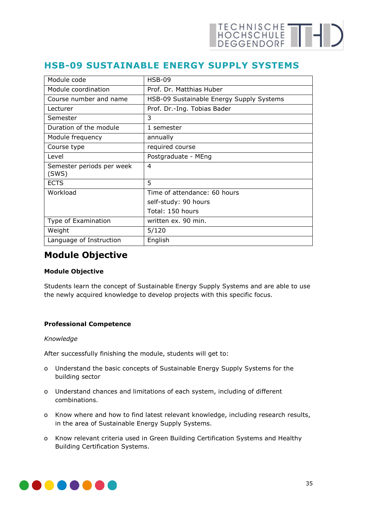## <span id="page-34-0"></span>**HSB-09 SUSTAINABLE ENERGY SUPPLY SYSTEMS**

| Module code                        | $HSB-09$                                 |
|------------------------------------|------------------------------------------|
| Module coordination                | Prof. Dr. Matthias Huber                 |
| Course number and name             | HSB-09 Sustainable Energy Supply Systems |
| Lecturer                           | Prof. Dr.-Ing. Tobias Bader              |
| Semester                           | 3                                        |
| Duration of the module             | 1 semester                               |
| Module frequency                   | annually                                 |
| Course type                        | required course                          |
| Level                              | Postgraduate - MEng                      |
| Semester periods per week<br>(SWS) | 4                                        |
| <b>ECTS</b>                        | 5                                        |
| Workload                           | Time of attendance: 60 hours             |
|                                    | self-study: 90 hours                     |
|                                    | Total: 150 hours                         |
| Type of Examination                | written ex. 90 min.                      |
| Weight                             | 5/120                                    |
| Language of Instruction            | English                                  |

## **Module Objective**

#### **Module Objective**

Students learn the concept of Sustainable Energy Supply Systems and are able to use the newly acquired knowledge to develop projects with this specific focus.

#### **Professional Competence**

#### *Knowledge*

After successfully finishing the module, students will get to:

- o Understand the basic concepts of Sustainable Energy Supply Systems for the building sector
- o Understand chances and limitations of each system, including of different combinations.
- o Know where and how to find latest relevant knowledge, including research results, in the area of Sustainable Energy Supply Systems.
- o Know relevant criteria used in Green Building Certification Systems and Healthy Building Certification Systems.

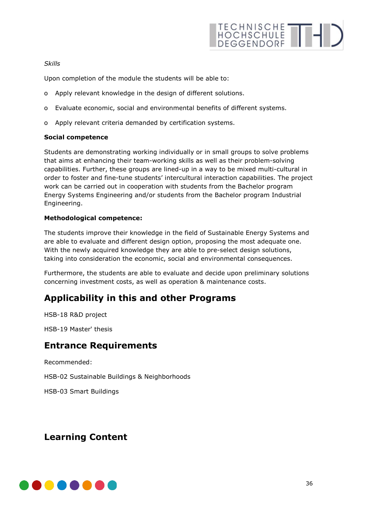#### *Skills*

Upon completion of the module the students will be able to:

- o Apply relevant knowledge in the design of different solutions.
- o Evaluate economic, social and environmental benefits of different systems.
- o Apply relevant criteria demanded by certification systems.

#### **Social competence**

Students are demonstrating working individually or in small groups to solve problems that aims at enhancing their team-working skills as well as their problem-solving capabilities. Further, these groups are lined-up in a way to be mixed multi-cultural in order to foster and fine-tune students' intercultural interaction capabilities. The project work can be carried out in cooperation with students from the Bachelor program Energy Systems Engineering and/or students from the Bachelor program Industrial Engineering.

#### **Methodological competence:**

The students improve their knowledge in the field of Sustainable Energy Systems and are able to evaluate and different design option, proposing the most adequate one. With the newly acquired knowledge they are able to pre-select design solutions, taking into consideration the economic, social and environmental consequences.

Furthermore, the students are able to evaluate and decide upon preliminary solutions concerning investment costs, as well as operation & maintenance costs.

## **Applicability in this and other Programs**

HSB-18 R&D project

HSB-19 Master' thesis

### **Entrance Requirements**

Recommended:

HSB-02 Sustainable Buildings & Neighborhoods

HSB-03 Smart Buildings

## **Learning Content**

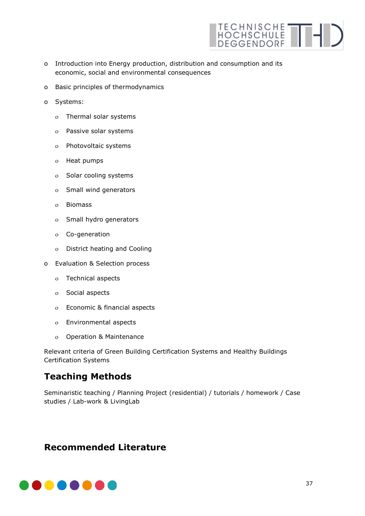

- o Introduction into Energy production, distribution and consumption and its economic, social and environmental consequences
- o Basic principles of thermodynamics
- o Systems:
	- ο Thermal solar systems
	- ο Passive solar systems
	- ο Photovoltaic systems
	- ο Heat pumps
	- ο Solar cooling systems
	- ο Small wind generators
	- ο Biomass
	- ο Small hydro generators
	- ο Co-generation
	- ο District heating and Cooling
- o Evaluation & Selection process
	- ο Technical aspects
	- ο Social aspects
	- ο Economic & financial aspects
	- ο Environmental aspects
	- ο Operation & Maintenance

Relevant criteria of Green Building Certification Systems and Healthy Buildings Certification Systems

## **Teaching Methods**

Seminaristic teaching / Planning Project (residential) / tutorials / homework / Case studies / Lab-work & LivingLab

## **Recommended Literature**

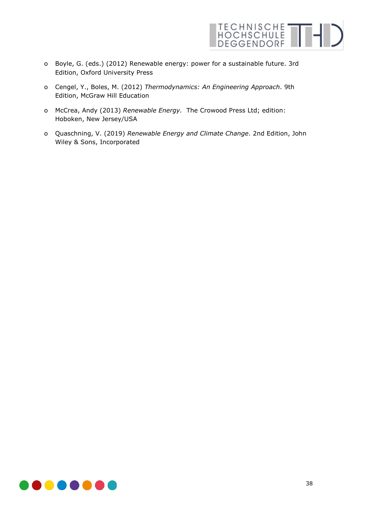

- o Boyle, G. (eds.) (2012) Renewable energy: power for a sustainable future. 3rd Edition, Oxford University Press
- o Cengel, Y., Boles, M. (2012) *Thermodynamics: An Engineering Approach*. 9th Edition, McGraw Hill Education
- o McCrea, Andy (2013) *Renewable Energy.* The Crowood Press Ltd; edition: Hoboken, New Jersey/USA
- o Quaschning, V. (2019) *Renewable Energy and Climate Change*. 2nd Edition, John Wiley & Sons, Incorporated

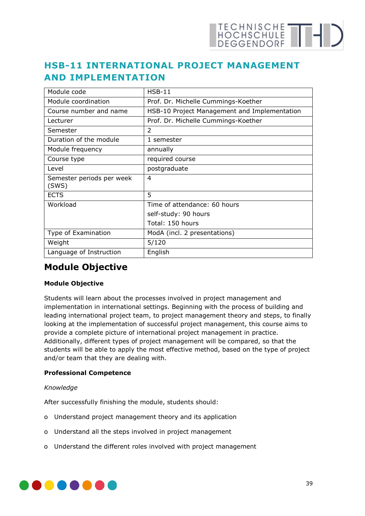# **HSB-11 INTERNATIONAL PROJECT MANAGEMENT AND IMPLEMENTATION**

| Module code                        | $HSB-11$                                     |
|------------------------------------|----------------------------------------------|
| Module coordination                | Prof. Dr. Michelle Cummings-Koether          |
| Course number and name             | HSB-10 Project Management and Implementation |
| Lecturer                           | Prof. Dr. Michelle Cummings-Koether          |
| Semester                           | 2                                            |
| Duration of the module             | 1 semester                                   |
| Module frequency                   | annually                                     |
| Course type                        | required course                              |
| Level                              | postgraduate                                 |
| Semester periods per week<br>(SWS) | 4                                            |
| <b>ECTS</b>                        | 5                                            |
| Workload                           | Time of attendance: 60 hours                 |
|                                    | self-study: 90 hours                         |
|                                    | Total: 150 hours                             |
| Type of Examination                | ModA (incl. 2 presentations)                 |
| Weight                             | 5/120                                        |
| Language of Instruction            | English                                      |

## **Module Objective**

## **Module Objective**

Students will learn about the processes involved in project management and implementation in international settings. Beginning with the process of building and leading international project team, to project management theory and steps, to finally looking at the implementation of successful project management, this course aims to provide a complete picture of international project management in practice. Additionally, different types of project management will be compared, so that the students will be able to apply the most effective method, based on the type of project and/or team that they are dealing with.

## **Professional Competence**

## *Knowledge*

After successfully finishing the module, students should:

- o Understand project management theory and its application
- o Understand all the steps involved in project management
- o Understand the different roles involved with project management

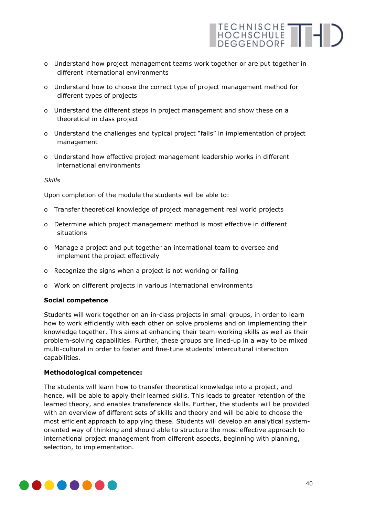

- o Understand how project management teams work together or are put together in different international environments
- o Understand how to choose the correct type of project management method for different types of projects
- o Understand the different steps in project management and show these on a theoretical in class project
- o Understand the challenges and typical project "fails" in implementation of project management
- o Understand how effective project management leadership works in different international environments

### *Skills*

Upon completion of the module the students will be able to:

- o Transfer theoretical knowledge of project management real world projects
- o Determine which project management method is most effective in different situations
- o Manage a project and put together an international team to oversee and implement the project effectively
- o Recognize the signs when a project is not working or failing
- o Work on different projects in various international environments

#### **Social competence**

Students will work together on an in-class projects in small groups, in order to learn how to work efficiently with each other on solve problems and on implementing their knowledge together. This aims at enhancing their team-working skills as well as their problem-solving capabilities. Further, these groups are lined-up in a way to be mixed multi-cultural in order to foster and fine-tune students' intercultural interaction capabilities.

#### **Methodological competence:**

The students will learn how to transfer theoretical knowledge into a project, and hence, will be able to apply their learned skills. This leads to greater retention of the learned theory, and enables transference skills. Further, the students will be provided with an overview of different sets of skills and theory and will be able to choose the most efficient approach to applying these. Students will develop an analytical systemoriented way of thinking and should able to structure the most effective approach to international project management from different aspects, beginning with planning, selection, to implementation.

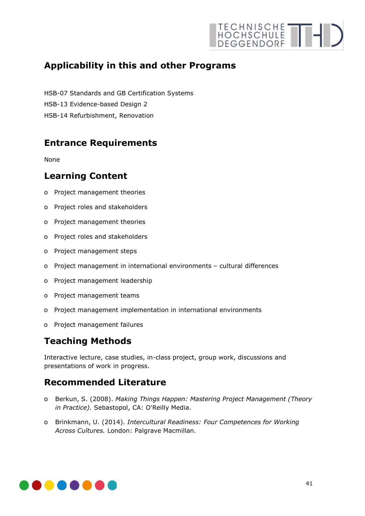# **Applicability in this and other Programs**

HSB-07 Standards and GB Certification Systems

- HSB-13 Evidence-based Design 2
- HSB-14 Refurbishment, Renovation

# **Entrance Requirements**

None

## **Learning Content**

- o Project management theories
- o Project roles and stakeholders
- o Project management theories
- o Project roles and stakeholders
- o Project management steps
- o Project management in international environments cultural differences
- o Project management leadership
- o Project management teams
- o Project management implementation in international environments
- o Project management failures

# **Teaching Methods**

Interactive lecture, case studies, in-class project, group work, discussions and presentations of work in progress.

## **Recommended Literature**

- o Berkun, S. (2008). *Making Things Happen: Mastering Project Management (Theory in Practice).* Sebastopol, CA: O'Reilly Media.
- o Brinkmann, U. (2014). *Intercultural Readiness: Four Competences for Working Across Cultures.* London: Palgrave Macmillan.

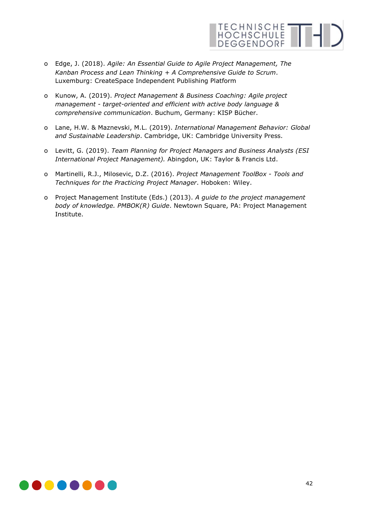

- o Edge, J. (2018). *Agile: An Essential Guide to Agile Project Management, The Kanban Process and Lean Thinking + A Comprehensive Guide to Scrum*. Luxemburg: CreateSpace Independent Publishing Platform
- o Kunow, A. (2019). *Project Management & Business Coaching: Agile project management - target-oriented and efficient with active body language & comprehensive communication*. Buchum, Germany: KISP Bücher.
- o Lane, H.W. & Maznevski, M.L. (2019). *International Management Behavior: Global and Sustainable Leadership*. Cambridge, UK: Cambridge University Press.
- o Levitt, G. (2019). *Team Planning for Project Managers and Business Analysts (ESI International Project Management).* Abingdon, UK: Taylor & Francis Ltd.
- o Martinelli, R.J., Milosevic, D.Z. (2016). *Project Management ToolBox - Tools and Techniques for the Practicing Project Manager*. Hoboken: Wiley.
- o Project Management Institute (Eds.) (2013). *A guide to the project management body of knowledge. PMBOK(R) Guide*. Newtown Square, PA: Project Management Institute.

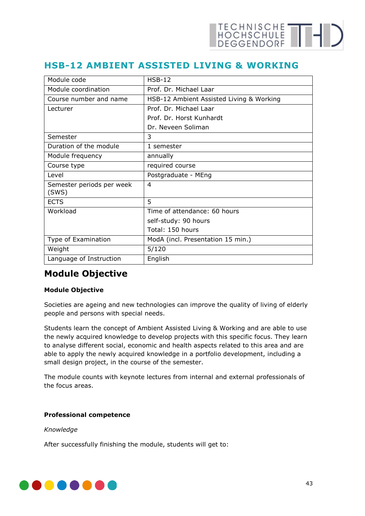## **HSB-12 AMBIENT ASSISTED LIVING & WORKING**

| Module code                        | $HSB-12$                                 |
|------------------------------------|------------------------------------------|
| Module coordination                | Prof. Dr. Michael Laar                   |
| Course number and name             | HSB-12 Ambient Assisted Living & Working |
| Lecturer                           | Prof. Dr. Michael Laar                   |
|                                    | Prof. Dr. Horst Kunhardt                 |
|                                    | Dr. Neveen Soliman                       |
| Semester                           | 3                                        |
| Duration of the module             | 1 semester                               |
| Module frequency                   | annually                                 |
| Course type                        | required course                          |
| Level                              | Postgraduate - MEng                      |
| Semester periods per week<br>(SWS) | $\overline{4}$                           |
| <b>ECTS</b>                        | 5                                        |
| Workload                           | Time of attendance: 60 hours             |
|                                    | self-study: 90 hours                     |
|                                    | Total: 150 hours                         |
| Type of Examination                | ModA (incl. Presentation 15 min.)        |
| Weight                             | 5/120                                    |
| Language of Instruction            | English                                  |

## **Module Objective**

## **Module Objective**

Societies are ageing and new technologies can improve the quality of living of elderly people and persons with special needs.

Students learn the concept of Ambient Assisted Living & Working and are able to use the newly acquired knowledge to develop projects with this specific focus. They learn to analyse different social, economic and health aspects related to this area and are able to apply the newly acquired knowledge in a portfolio development, including a small design project, in the course of the semester.

The module counts with keynote lectures from internal and external professionals of the focus areas.

### **Professional competence**

*Knowledge* 

After successfully finishing the module, students will get to:

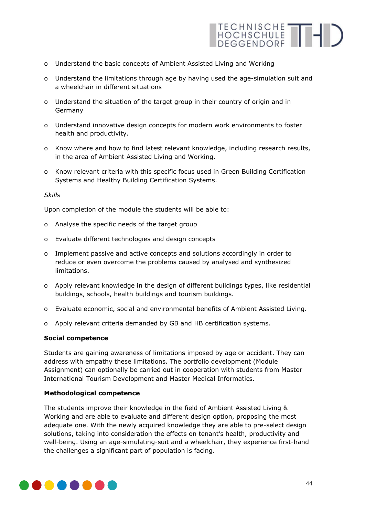

- o Understand the basic concepts of Ambient Assisted Living and Working
- o Understand the limitations through age by having used the age-simulation suit and a wheelchair in different situations
- o Understand the situation of the target group in their country of origin and in Germany
- o Understand innovative design concepts for modern work environments to foster health and productivity.
- o Know where and how to find latest relevant knowledge, including research results, in the area of Ambient Assisted Living and Working.
- o Know relevant criteria with this specific focus used in Green Building Certification Systems and Healthy Building Certification Systems.

#### *Skills*

Upon completion of the module the students will be able to:

- o Analyse the specific needs of the target group
- o Evaluate different technologies and design concepts
- o Implement passive and active concepts and solutions accordingly in order to reduce or even overcome the problems caused by analysed and synthesized limitations.
- o Apply relevant knowledge in the design of different buildings types, like residential buildings, schools, health buildings and tourism buildings.
- o Evaluate economic, social and environmental benefits of Ambient Assisted Living.
- o Apply relevant criteria demanded by GB and HB certification systems.

### **Social competence**

Students are gaining awareness of limitations imposed by age or accident. They can address with empathy these limitations. The portfolio development (Module Assignment) can optionally be carried out in cooperation with students from Master International Tourism Development and Master Medical Informatics.

### **Methodological competence**

The students improve their knowledge in the field of Ambient Assisted Living & Working and are able to evaluate and different design option, proposing the most adequate one. With the newly acquired knowledge they are able to pre-select design solutions, taking into consideration the effects on tenant's health, productivity and well-being. Using an age-simulating-suit and a wheelchair, they experience first-hand the challenges a significant part of population is facing.

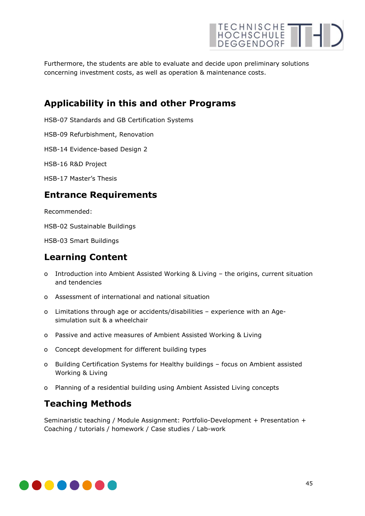

Furthermore, the students are able to evaluate and decide upon preliminary solutions concerning investment costs, as well as operation & maintenance costs.

## **Applicability in this and other Programs**

HSB-07 Standards and GB Certification Systems

HSB-09 Refurbishment, Renovation

HSB-14 Evidence-based Design 2

HSB-16 R&D Project

HSB-17 Master's Thesis

## **Entrance Requirements**

Recommended:

HSB-02 Sustainable Buildings

HSB-03 Smart Buildings

## **Learning Content**

- o Introduction into Ambient Assisted Working & Living the origins, current situation and tendencies
- o Assessment of international and national situation
- o Limitations through age or accidents/disabilities experience with an Agesimulation suit & a wheelchair
- o Passive and active measures of Ambient Assisted Working & Living
- o Concept development for different building types
- o Building Certification Systems for Healthy buildings focus on Ambient assisted Working & Living
- o Planning of a residential building using Ambient Assisted Living concepts

## **Teaching Methods**

Seminaristic teaching / Module Assignment: Portfolio-Development + Presentation + Coaching / tutorials / homework / Case studies / Lab-work

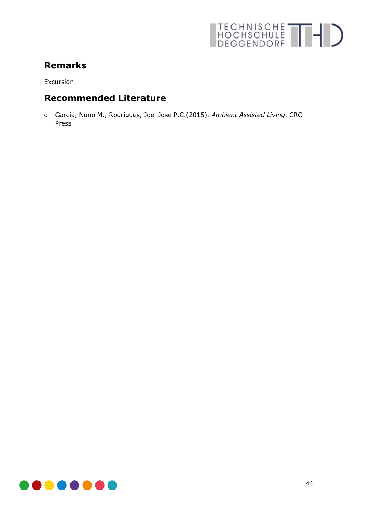

# **Remarks**

Excursion

## **Recommended Literature**

o Garcia, Nuno M., Rodrigues, Joel Jose P.C.(2015). *Ambient Assisted Living*. CRC Press

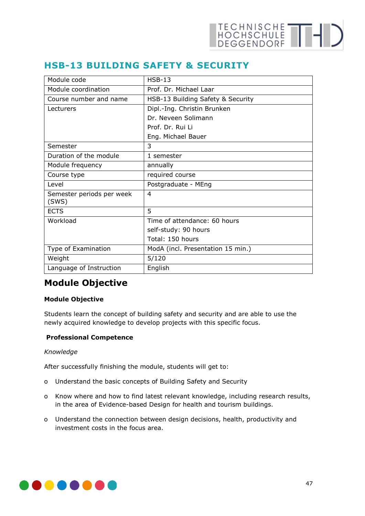## **HSB-13 BUILDING SAFETY & SECURITY**

| Module code                        | $HSB-13$                          |
|------------------------------------|-----------------------------------|
| Module coordination                | Prof. Dr. Michael Laar            |
| Course number and name             | HSB-13 Building Safety & Security |
| Lecturers                          | Dipl.-Ing. Christin Brunken       |
|                                    | Dr. Neveen Solimann               |
|                                    | Prof. Dr. Rui Li                  |
|                                    | Eng. Michael Bauer                |
| Semester                           | 3                                 |
| Duration of the module             | 1 semester                        |
| Module frequency                   | annually                          |
| Course type                        | required course                   |
| Level                              | Postgraduate - MEng               |
| Semester periods per week<br>(SWS) | 4                                 |
| <b>ECTS</b>                        | 5                                 |
| Workload                           | Time of attendance: 60 hours      |
|                                    | self-study: 90 hours              |
|                                    | Total: 150 hours                  |
| Type of Examination                | ModA (incl. Presentation 15 min.) |
| Weight                             | 5/120                             |
| Language of Instruction            | English                           |

# **Module Objective**

## **Module Objective**

Students learn the concept of building safety and security and are able to use the newly acquired knowledge to develop projects with this specific focus.

### **Professional Competence**

### *Knowledge*

After successfully finishing the module, students will get to:

- o Understand the basic concepts of Building Safety and Security
- o Know where and how to find latest relevant knowledge, including research results, in the area of Evidence-based Design for health and tourism buildings.
- o Understand the connection between design decisions, health, productivity and investment costs in the focus area.

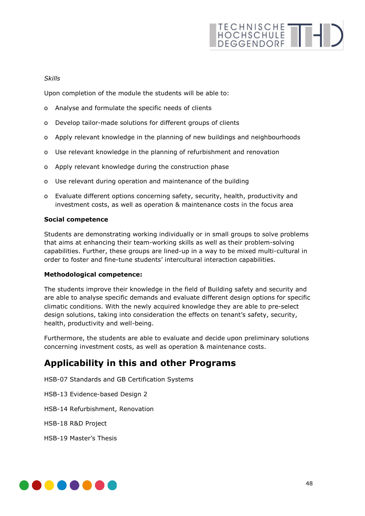### *Skills*

Upon completion of the module the students will be able to:

- o Analyse and formulate the specific needs of clients
- o Develop tailor-made solutions for different groups of clients
- o Apply relevant knowledge in the planning of new buildings and neighbourhoods
- o Use relevant knowledge in the planning of refurbishment and renovation
- o Apply relevant knowledge during the construction phase
- o Use relevant during operation and maintenance of the building
- o Evaluate different options concerning safety, security, health, productivity and investment costs, as well as operation & maintenance costs in the focus area

### **Social competence**

Students are demonstrating working individually or in small groups to solve problems that aims at enhancing their team-working skills as well as their problem-solving capabilities. Further, these groups are lined-up in a way to be mixed multi-cultural in order to foster and fine-tune students' intercultural interaction capabilities.

### **Methodological competence:**

The students improve their knowledge in the field of Building safety and security and are able to analyse specific demands and evaluate different design options for specific climatic conditions. With the newly acquired knowledge they are able to pre-select design solutions, taking into consideration the effects on tenant's safety, security, health, productivity and well-being.

Furthermore, the students are able to evaluate and decide upon preliminary solutions concerning investment costs, as well as operation & maintenance costs.

## **Applicability in this and other Programs**

- HSB-07 Standards and GB Certification Systems
- HSB-13 Evidence-based Design 2
- HSB-14 Refurbishment, Renovation
- HSB-18 R&D Project
- HSB-19 Master's Thesis

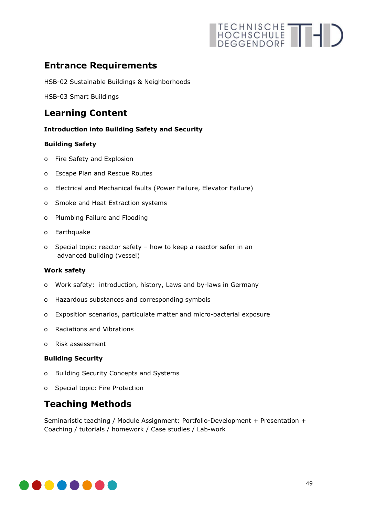# TECHNISCHE THIS

# **Entrance Requirements**

HSB-02 Sustainable Buildings & Neighborhoods

HSB-03 Smart Buildings

## **Learning Content**

### **Introduction into Building Safety and Security**

### **Building Safety**

- o Fire Safety and Explosion
- o Escape Plan and Rescue Routes
- o Electrical and Mechanical faults (Power Failure, Elevator Failure)
- o Smoke and Heat Extraction systems
- o Plumbing Failure and Flooding
- o Earthquake
- o Special topic: reactor safety how to keep a reactor safer in an advanced building (vessel)

### **Work safety**

- o Work safety: introduction, history, Laws and by-laws in Germany
- o Hazardous substances and corresponding symbols
- o Exposition scenarios, particulate matter and micro-bacterial exposure
- o Radiations and Vibrations
- o Risk assessment

### **Building Security**

- o Building Security Concepts and Systems
- o Special topic: Fire Protection

## **Teaching Methods**

Seminaristic teaching / Module Assignment: Portfolio-Development + Presentation + Coaching / tutorials / homework / Case studies / Lab-work

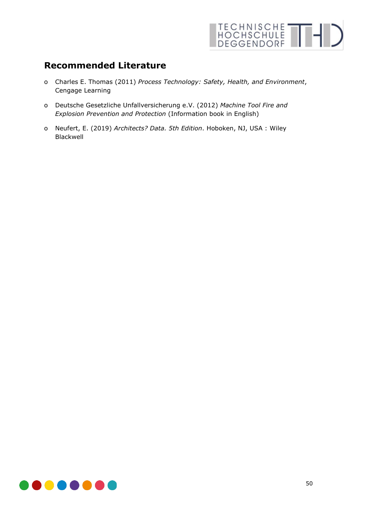

## **Recommended Literature**

- o Charles E. Thomas (2011) *Process Technology: Safety, Health, and Environment*, Cengage Learning
- o Deutsche Gesetzliche Unfallversicherung e.V. (2012) *Machine Tool Fire and Explosion Prevention and Protection* (Information book in English)
- o Neufert, E. (2019) *Architects? Data. 5th Edition*. Hoboken, NJ, USA : Wiley Blackwell

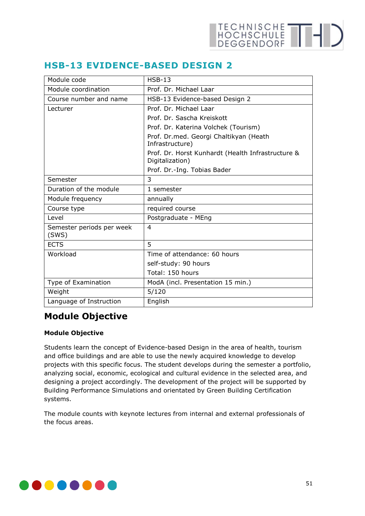| Module code                        | $HSB-13$                                                             |
|------------------------------------|----------------------------------------------------------------------|
| Module coordination                | Prof. Dr. Michael Laar                                               |
| Course number and name             | HSB-13 Evidence-based Design 2                                       |
| Lecturer                           | Prof. Dr. Michael Laar                                               |
|                                    | Prof. Dr. Sascha Kreiskott                                           |
|                                    | Prof. Dr. Katerina Volchek (Tourism)                                 |
|                                    | Prof. Dr.med. Georgi Chaltikyan (Heath<br>Infrastructure)            |
|                                    | Prof. Dr. Horst Kunhardt (Health Infrastructure &<br>Digitalization) |
|                                    | Prof. Dr.-Ing. Tobias Bader                                          |
| Semester                           | 3                                                                    |
| Duration of the module             | 1 semester                                                           |
| Module frequency                   | annually                                                             |
| Course type                        | required course                                                      |
| <b>Level</b>                       | Postgraduate - MEng                                                  |
| Semester periods per week<br>(SWS) | 4                                                                    |
| <b>ECTS</b>                        | 5                                                                    |
| Workload                           | Time of attendance: 60 hours                                         |
|                                    | self-study: 90 hours                                                 |
|                                    | Total: 150 hours                                                     |
| Type of Examination                | ModA (incl. Presentation 15 min.)                                    |
| Weight                             | 5/120                                                                |
| Language of Instruction            | English                                                              |

## **HSB-13 EVIDENCE-BASED DESIGN 2**

## **Module Objective**

## **Module Objective**

Students learn the concept of Evidence-based Design in the area of health, tourism and office buildings and are able to use the newly acquired knowledge to develop projects with this specific focus. The student develops during the semester a portfolio, analyzing social, economic, ecological and cultural evidence in the selected area, and designing a project accordingly. The development of the project will be supported by Building Performance Simulations and orientated by Green Building Certification systems.

The module counts with keynote lectures from internal and external professionals of the focus areas.

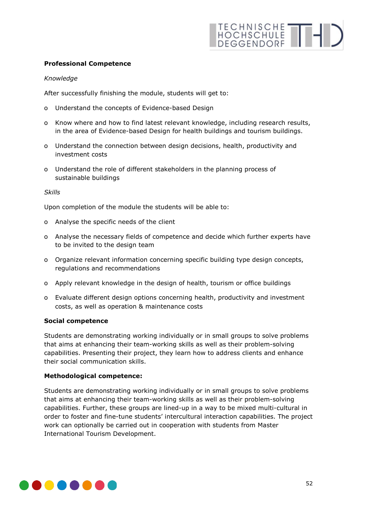### **Professional Competence**

### *Knowledge*

After successfully finishing the module, students will get to:

- o Understand the concepts of Evidence-based Design
- o Know where and how to find latest relevant knowledge, including research results, in the area of Evidence-based Design for health buildings and tourism buildings.
- o Understand the connection between design decisions, health, productivity and investment costs
- o Understand the role of different stakeholders in the planning process of sustainable buildings

#### *Skills*

Upon completion of the module the students will be able to:

- o Analyse the specific needs of the client
- o Analyse the necessary fields of competence and decide which further experts have to be invited to the design team
- o Organize relevant information concerning specific building type design concepts, regulations and recommendations
- o Apply relevant knowledge in the design of health, tourism or office buildings
- o Evaluate different design options concerning health, productivity and investment costs, as well as operation & maintenance costs

#### **Social competence**

Students are demonstrating working individually or in small groups to solve problems that aims at enhancing their team-working skills as well as their problem-solving capabilities. Presenting their project, they learn how to address clients and enhance their social communication skills.

### **Methodological competence:**

Students are demonstrating working individually or in small groups to solve problems that aims at enhancing their team-working skills as well as their problem-solving capabilities. Further, these groups are lined-up in a way to be mixed multi-cultural in order to foster and fine-tune students' intercultural interaction capabilities. The project work can optionally be carried out in cooperation with students from Master International Tourism Development.

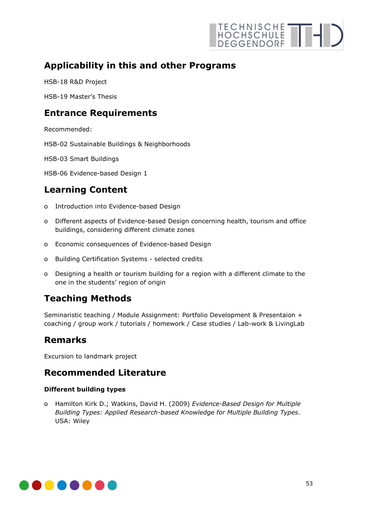

## **Applicability in this and other Programs**

HSB-18 R&D Project

HSB-19 Master's Thesis

## **Entrance Requirements**

Recommended:

HSB-02 Sustainable Buildings & Neighborhoods

HSB-03 Smart Buildings

HSB-06 Evidence-based Design 1

## **Learning Content**

- o Introduction into Evidence-based Design
- o Different aspects of Evidence-based Design concerning health, tourism and office buildings, considering different climate zones
- o Economic consequences of Evidence-based Design
- o Building Certification Systems selected credits
- o Designing a health or tourism building for a region with a different climate to the one in the students' region of origin

## **Teaching Methods**

Seminaristic teaching / Module Assignment: Portfolio Development & Presentaion + coaching / group work / tutorials / homework / Case studies / Lab-work & LivingLab

## **Remarks**

Excursion to landmark project

## **Recommended Literature**

## **Different building types**

o Hamilton Kirk D.; Watkins, David H. (2009) *Evidence-Based Design for Multiple Building Types: Applied Research-based Knowledge for Multiple Building Types*. USA: Wiley

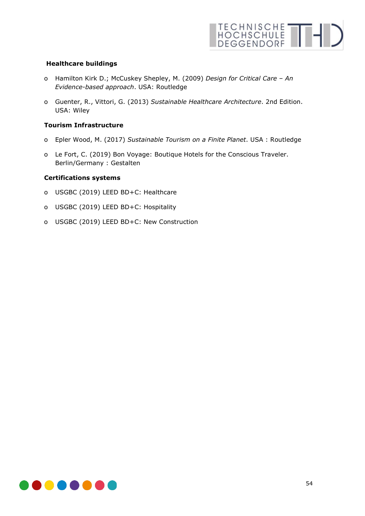

### **Healthcare buildings**

- o Hamilton Kirk D.; McCuskey Shepley, M. (2009) *Design for Critical Care – An Evidence-based approach*. USA: Routledge
- o Guenter, R., Vittori, G. (2013) *Sustainable Healthcare Architecture*. 2nd Edition. USA: Wiley

### **Tourism Infrastructure**

- o Epler Wood, M. (2017) *[Sustainable Tourism on a Finite Planet](https://www.amazon.de/Sustainable-Tourism-Finite-Planet-Megan/dp/1138217611/ref=sr_1_8?__mk_de_DE=%C3%85M%C3%85%C5%BD%C3%95%C3%91&dchild=1&keywords=Sustainable+hotels&qid=1615020986&s=books&sr=1-8)*. USA : Routledge
- o Le Fort, C. (2019) Bon Voyage: Boutique Hotels for the Conscious Traveler. Berlin/Germany : Gestalten

### **Certifications systems**

- o USGBC (2019) LEED BD+C: Healthcare
- o USGBC (2019) LEED BD+C: Hospitality
- o USGBC (2019) LEED BD+C: New Construction

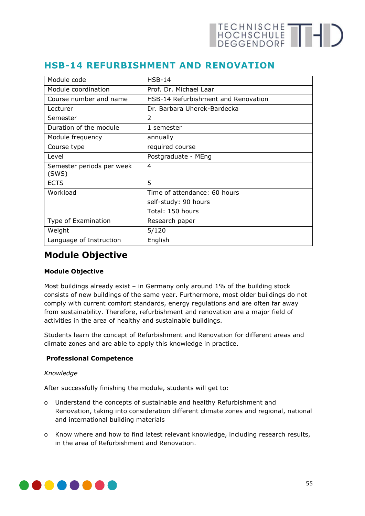## **HSB-14 REFURBISHMENT AND RENOVATION**

| Module code                        | $HSB-14$                            |
|------------------------------------|-------------------------------------|
| Module coordination                | Prof. Dr. Michael Laar              |
| Course number and name             | HSB-14 Refurbishment and Renovation |
| Lecturer                           | Dr. Barbara Uherek-Bardecka         |
| Semester                           | $\mathfrak{D}$                      |
| Duration of the module             | 1 semester                          |
| Module frequency                   | annually                            |
| Course type                        | required course                     |
| Level                              | Postgraduate - MEng                 |
| Semester periods per week<br>(SWS) | 4                                   |
| <b>ECTS</b>                        | 5                                   |
| Workload                           | Time of attendance: 60 hours        |
|                                    | self-study: 90 hours                |
|                                    | Total: 150 hours                    |
| Type of Examination                | Research paper                      |
| Weight                             | 5/120                               |
| Language of Instruction            | English                             |

## **Module Objective**

## **Module Objective**

Most buildings already exist – in Germany only around 1% of the building stock consists of new buildings of the same year. Furthermore, most older buildings do not comply with current comfort standards, energy regulations and are often far away from sustainability. Therefore, refurbishment and renovation are a major field of activities in the area of healthy and sustainable buildings.

Students learn the concept of Refurbishment and Renovation for different areas and climate zones and are able to apply this knowledge in practice.

### **Professional Competence**

### *Knowledge*

After successfully finishing the module, students will get to:

- o Understand the concepts of sustainable and healthy Refurbishment and Renovation, taking into consideration different climate zones and regional, national and international building materials
- o Know where and how to find latest relevant knowledge, including research results, in the area of Refurbishment and Renovation.

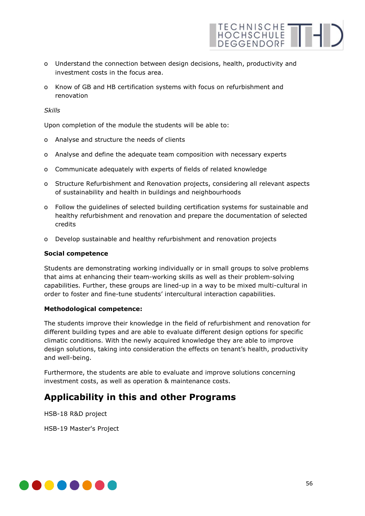o Understand the connection between design decisions, health, productivity and investment costs in the focus area.

TECHNISCHE THI

o Know of GB and HB certification systems with focus on refurbishment and renovation

#### *Skills*

Upon completion of the module the students will be able to:

- o Analyse and structure the needs of clients
- o Analyse and define the adequate team composition with necessary experts
- o Communicate adequately with experts of fields of related knowledge
- o Structure Refurbishment and Renovation projects, considering all relevant aspects of sustainability and health in buildings and neighbourhoods
- o Follow the guidelines of selected building certification systems for sustainable and healthy refurbishment and renovation and prepare the documentation of selected credits
- o Develop sustainable and healthy refurbishment and renovation projects

#### **Social competence**

Students are demonstrating working individually or in small groups to solve problems that aims at enhancing their team-working skills as well as their problem-solving capabilities. Further, these groups are lined-up in a way to be mixed multi-cultural in order to foster and fine-tune students' intercultural interaction capabilities.

#### **Methodological competence:**

The students improve their knowledge in the field of refurbishment and renovation for different building types and are able to evaluate different design options for specific climatic conditions. With the newly acquired knowledge they are able to improve design solutions, taking into consideration the effects on tenant's health, productivity and well-being.

Furthermore, the students are able to evaluate and improve solutions concerning investment costs, as well as operation & maintenance costs.

## **Applicability in this and other Programs**

HSB-18 R&D project

HSB-19 Master's Project

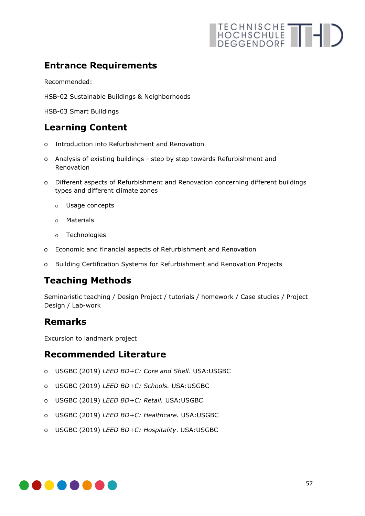# **Entrance Requirements**

Recommended:

HSB-02 Sustainable Buildings & Neighborhoods

HSB-03 Smart Buildings

## **Learning Content**

- o Introduction into Refurbishment and Renovation
- o Analysis of existing buildings step by step towards Refurbishment and Renovation
- o Different aspects of Refurbishment and Renovation concerning different buildings types and different climate zones
	- ο Usage concepts
	- ο Materials
	- ο Technologies
- o Economic and financial aspects of Refurbishment and Renovation
- o Building Certification Systems for Refurbishment and Renovation Projects

## **Teaching Methods**

Seminaristic teaching / Design Project / tutorials / homework / Case studies / Project Design / Lab-work

## **Remarks**

Excursion to landmark project

## **Recommended Literature**

- o USGBC (2019) *LEED BD+C: Core and Shell*. USA:USGBC
- o USGBC (2019) *LEED BD+C: Schools.* USA:USGBC
- o USGBC (2019) *LEED BD+C: Retail.* USA:USGBC
- o USGBC (2019) *LEED BD+C: Healthcare.* USA:USGBC
- o USGBC (2019) *LEED BD+C: Hospitality*. USA:USGBC

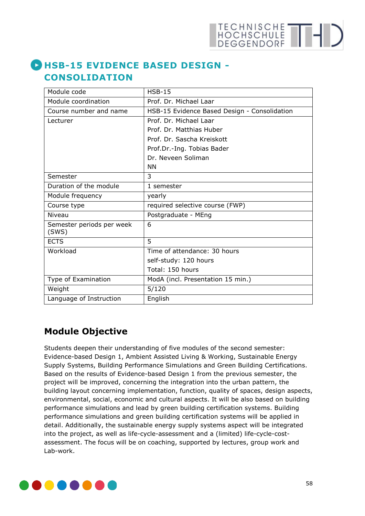# **HSB-15 EVIDENCE BASED DESIGN - CONSOLIDATION**

| Module code               | $HSB-15$                                     |
|---------------------------|----------------------------------------------|
| Module coordination       | Prof. Dr. Michael Laar                       |
| Course number and name    | HSB-15 Evidence Based Design - Consolidation |
| Lecturer                  | Prof. Dr. Michael Laar                       |
|                           | Prof. Dr. Matthias Huber                     |
|                           | Prof. Dr. Sascha Kreiskott                   |
|                           | Prof.Dr.-Ing. Tobias Bader                   |
|                           | Dr. Neveen Soliman                           |
|                           | ΝN                                           |
| Semester                  | 3                                            |
| Duration of the module    | 1 semester                                   |
| Module frequency          | yearly                                       |
| Course type               | required selective course (FWP)              |
| Niveau                    | Postgraduate - MEng                          |
| Semester periods per week | 6                                            |
| (SWS)                     |                                              |
| <b>ECTS</b>               | 5                                            |
| Workload                  | Time of attendance: 30 hours                 |
|                           | self-study: 120 hours                        |
|                           | Total: 150 hours                             |
| Type of Examination       | ModA (incl. Presentation 15 min.)            |
| Weight                    | 5/120                                        |
| Language of Instruction   | English                                      |

# **Module Objective**

Students deepen their understanding of five modules of the second semester: Evidence-based Design 1, Ambient Assisted Living & Working, Sustainable Energy Supply Systems, Building Performance Simulations and Green Building Certifications. Based on the results of Evidence-based Design 1 from the previous semester, the project will be improved, concerning the integration into the urban pattern, the building layout concerning implementation, function, quality of spaces, design aspects, environmental, social, economic and cultural aspects. It will be also based on building performance simulations and lead by green building certification systems. Building performance simulations and green building certification systems will be applied in detail. Additionally, the sustainable energy supply systems aspect will be integrated into the project, as well as life-cycle-assessment and a (limited) life-cycle-costassessment. The focus will be on coaching, supported by lectures, group work and Lab-work.

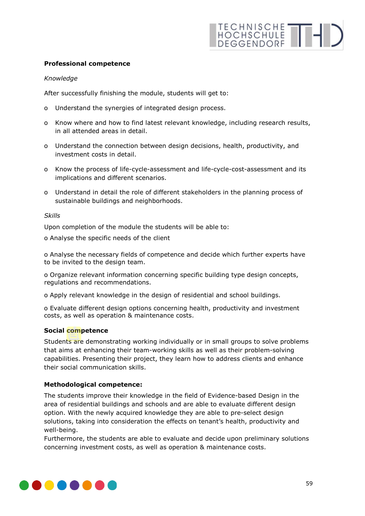## **Professional competence**

## *Knowledge*

After successfully finishing the module, students will get to:

- o Understand the synergies of integrated design process.
- o Know where and how to find latest relevant knowledge, including research results, in all attended areas in detail.
- o Understand the connection between design decisions, health, productivity, and investment costs in detail.
- o Know the process of life-cycle-assessment and life-cycle-cost-assessment and its implications and different scenarios.
- o Understand in detail the role of different stakeholders in the planning process of sustainable buildings and neighborhoods.

#### *Skills*

Upon completion of the module the students will be able to:

o Analyse the specific needs of the client

o Analyse the necessary fields of competence and decide which further experts have to be invited to the design team.

o Organize relevant information concerning specific building type design concepts, regulations and recommendations.

o Apply relevant knowledge in the design of residential and school buildings.

o Evaluate different design options concerning health, productivity and investment costs, as well as operation & maintenance costs.

### **Social competence**

Students are demonstrating working individually or in small groups to solve problems that aims at enhancing their team-working skills as well as their problem-solving capabilities. Presenting their project, they learn how to address clients and enhance their social communication skills.

### **Methodological competence:**

The students improve their knowledge in the field of Evidence-based Design in the area of residential buildings and schools and are able to evaluate different design option. With the newly acquired knowledge they are able to pre-select design solutions, taking into consideration the effects on tenant's health, productivity and well-being.

Furthermore, the students are able to evaluate and decide upon preliminary solutions concerning investment costs, as well as operation & maintenance costs.

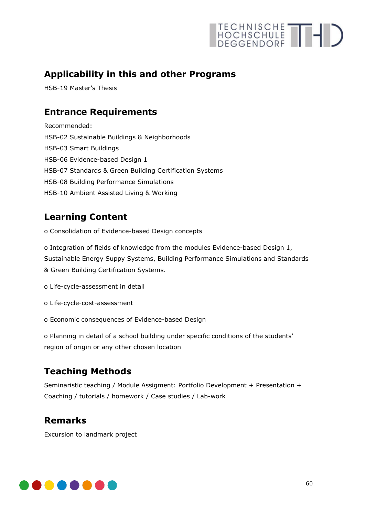# **Applicability in this and other Programs**

HSB-19 Master's Thesis

# **Entrance Requirements**

Recommended: HSB-02 Sustainable Buildings & Neighborhoods HSB-03 Smart Buildings HSB-06 Evidence-based Design 1 HSB-07 Standards & Green Building Certification Systems HSB-08 Building Performance Simulations HSB-10 Ambient Assisted Living & Working

# **Learning Content**

o Consolidation of Evidence-based Design concepts

o Integration of fields of knowledge from the modules Evidence-based Design 1, Sustainable Energy Suppy Systems, Building Performance Simulations and Standards & Green Building Certification Systems.

o Life-cycle-assessment in detail

- o Life-cycle-cost-assessment
- o Economic consequences of Evidence-based Design

o Planning in detail of a school building under specific conditions of the students' region of origin or any other chosen location

# **Teaching Methods**

Seminaristic teaching / Module Assigment: Portfolio Development + Presentation + Coaching / tutorials / homework / Case studies / Lab-work

## **Remarks**

Excursion to landmark project

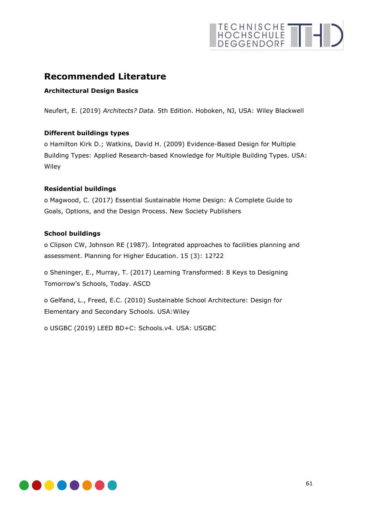# TECHNISCHE THIS

## **Recommended Literature**

## **Architectural Design Basics**

Neufert, E. (2019) *Architects? Data.* 5th Edition. Hoboken, NJ, USA: Wiley Blackwell

### **Different buildings types**

o Hamilton Kirk D.; Watkins, David H. (2009) Evidence-Based Design for Multiple Building Types: Applied Research-based Knowledge for Multiple Building Types. USA: **Wiley** 

### **Residential buildings**

o Magwood, C. (2017) Essential Sustainable Home Design: A Complete Guide to Goals, Options, and the Design Process. New Society Publishers

### **School buildings**

o Clipson CW, Johnson RE (1987). Integrated approaches to facilities planning and assessment. Planning for Higher Education. 15 (3): 12?22

o Sheninger, E., Murray, T. (2017) Learning Transformed: 8 Keys to Designing Tomorrow's Schools, Today. ASCD

o Gelfand, L., Freed, E.C. (2010) Sustainable School Architecture: Design for Elementary and Secondary Schools. USA:Wiley

o USGBC (2019) LEED BD+C: Schools.v4. USA: USGBC

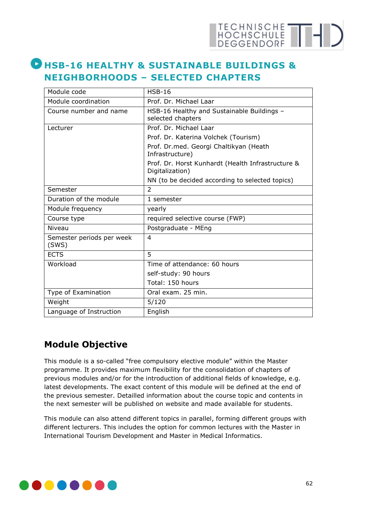# **HSB-16 HEALTHY & SUSTAINABLE BUILDINGS & NEIGHBORHOODS – SELECTED CHAPTERS**

| Module code                        | $HSB-16$                                                             |
|------------------------------------|----------------------------------------------------------------------|
| Module coordination                | Prof. Dr. Michael Laar                                               |
| Course number and name             | HSB-16 Healthy and Sustainable Buildings -<br>selected chapters      |
| Lecturer                           | Prof. Dr. Michael Laar                                               |
|                                    | Prof. Dr. Katerina Volchek (Tourism)                                 |
|                                    | Prof. Dr.med. Georgi Chaltikyan (Heath<br>Infrastructure)            |
|                                    | Prof. Dr. Horst Kunhardt (Health Infrastructure &<br>Digitalization) |
|                                    | NN (to be decided according to selected topics)                      |
| Semester                           | $\mathcal{P}$                                                        |
| Duration of the module             | 1 semester                                                           |
| Module frequency                   | yearly                                                               |
| Course type                        | required selective course (FWP)                                      |
| Niveau                             | Postgraduate - MEng                                                  |
| Semester periods per week<br>(SWS) | 4                                                                    |
| <b>ECTS</b>                        | 5                                                                    |
| Workload                           | Time of attendance: 60 hours                                         |
|                                    | self-study: 90 hours                                                 |
|                                    | Total: 150 hours                                                     |
| Type of Examination                | Oral exam. 25 min.                                                   |
| Weight                             | 5/120                                                                |
| Language of Instruction            | English                                                              |

# **Module Objective**

This module is a so-called "free compulsory elective module" within the Master programme. It provides maximum flexibility for the consolidation of chapters of previous modules and/or for the introduction of additional fields of knowledge, e.g. latest developments. The exact content of this module will be defined at the end of the previous semester. Detailled information about the course topic and contents in the next semester will be published on website and made available for students.

This module can also attend different topics in parallel, forming different groups with different lecturers. This includes the option for common lectures with the Master in International Tourism Development and Master in Medical Informatics.

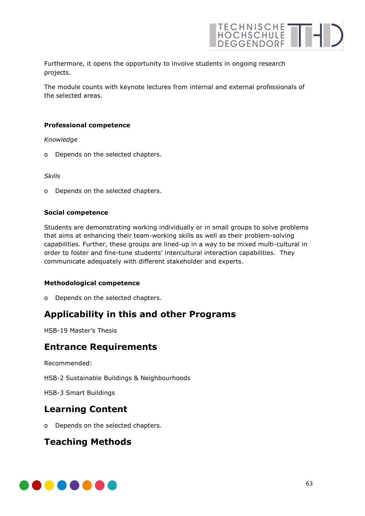

Furthermore, it opens the opportunity to involve students in ongoing research projects.

The module counts with keynote lectures from internal and external professionals of the selected areas.

### **Professional competence**

*Knowledge* 

o Depends on the selected chapters.

*Skills* 

o Depends on the selected chapters.

### **Social competence**

Students are demonstrating working individually or in small groups to solve problems that aims at enhancing their team-working skills as well as their problem-solving capabilities. Further, these groups are lined-up in a way to be mixed multi-cultural in order to foster and fine-tune students' intercultural interaction capabilities. They communicate adequately with different stakeholder and experts.

### **Methodological competence**

o Depends on the selected chapters.

## **Applicability in this and other Programs**

HSB-19 Master's Thesis

## **Entrance Requirements**

Recommended:

HSB-2 Sustainable Buildings & Neighbourhoods

HSB-3 Smart Buildings

## **Learning Content**

o Depends on the selected chapters.

## **Teaching Methods**

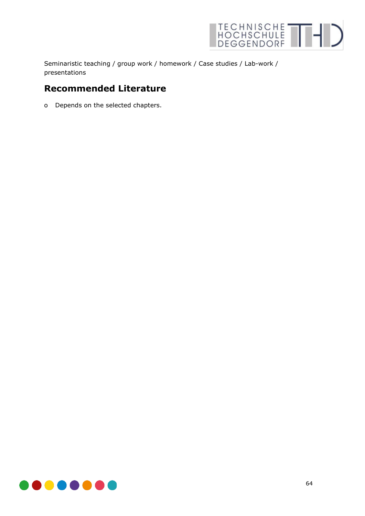

Seminaristic teaching / group work / homework / Case studies / Lab-work / presentations

## **Recommended Literature**

o Depends on the selected chapters.

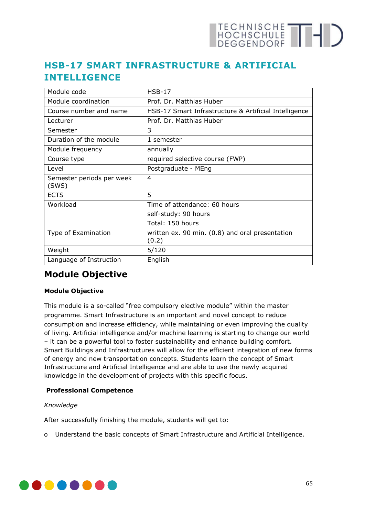# **HSB-17 SMART INFRASTRUCTURE & ARTIFICIAL INTELLIGENCE**

| Module code                        | $HSB-17$                                                 |
|------------------------------------|----------------------------------------------------------|
| Module coordination                | Prof. Dr. Matthias Huber                                 |
| Course number and name             | HSB-17 Smart Infrastructure & Artificial Intelligence    |
| Lecturer                           | Prof. Dr. Matthias Huber                                 |
| Semester                           | 3                                                        |
| Duration of the module             | 1 semester                                               |
| Module frequency                   | annually                                                 |
| Course type                        | required selective course (FWP)                          |
| l evel                             | Postgraduate - MEng                                      |
| Semester periods per week<br>(SWS) | 4                                                        |
| <b>ECTS</b>                        | 5                                                        |
| Workload                           | Time of attendance: 60 hours                             |
|                                    | self-study: 90 hours                                     |
|                                    | Total: 150 hours                                         |
| Type of Examination                | written ex. 90 min. (0.8) and oral presentation<br>(0.2) |
| Weight                             | 5/120                                                    |
| Language of Instruction            | English                                                  |

# **Module Objective**

## **Module Objective**

This module is a so-called "free compulsory elective module" within the master programme. Smart Infrastructure is an important and novel concept to reduce consumption and increase efficiency, while maintaining or even improving the quality of living. Artificial intelligence and/or machine learning is starting to change our world – it can be a powerful tool to foster sustainability and enhance building comfort. Smart Buildings and Infrastructures will allow for the efficient integration of new forms of energy and new transportation concepts. Students learn the concept of Smart Infrastructure and Artificial Intelligence and are able to use the newly acquired knowledge in the development of projects with this specific focus.

## **Professional Competence**

### *Knowledge*

After successfully finishing the module, students will get to:

o Understand the basic concepts of Smart Infrastructure and Artificial Intelligence.

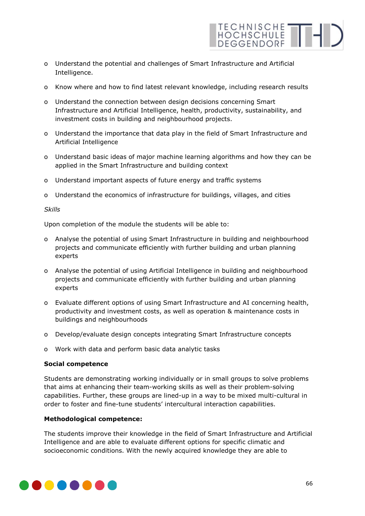

- o Understand the potential and challenges of Smart Infrastructure and Artificial Intelligence.
- o Know where and how to find latest relevant knowledge, including research results
- o Understand the connection between design decisions concerning Smart Infrastructure and Artificial Intelligence, health, productivity, sustainability, and investment costs in building and neighbourhood projects.
- o Understand the importance that data play in the field of Smart Infrastructure and Artificial Intelligence
- o Understand basic ideas of major machine learning algorithms and how they can be applied in the Smart Infrastructure and building context
- o Understand important aspects of future energy and traffic systems
- o Understand the economics of infrastructure for buildings, villages, and cities

### *Skills*

Upon completion of the module the students will be able to:

- o Analyse the potential of using Smart Infrastructure in building and neighbourhood projects and communicate efficiently with further building and urban planning experts
- o Analyse the potential of using Artificial Intelligence in building and neighbourhood projects and communicate efficiently with further building and urban planning experts
- o Evaluate different options of using Smart Infrastructure and AI concerning health, productivity and investment costs, as well as operation & maintenance costs in buildings and neighbourhoods
- o Develop/evaluate design concepts integrating Smart Infrastructure concepts
- o Work with data and perform basic data analytic tasks

### **Social competence**

Students are demonstrating working individually or in small groups to solve problems that aims at enhancing their team-working skills as well as their problem-solving capabilities. Further, these groups are lined-up in a way to be mixed multi-cultural in order to foster and fine-tune students' intercultural interaction capabilities.

### **Methodological competence:**

The students improve their knowledge in the field of Smart Infrastructure and Artificial Intelligence and are able to evaluate different options for specific climatic and socioeconomic conditions. With the newly acquired knowledge they are able to

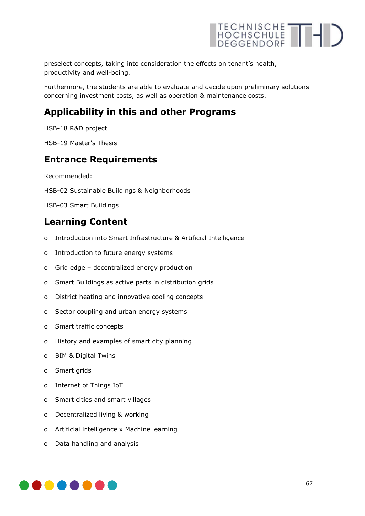

preselect concepts, taking into consideration the effects on tenant's health, productivity and well-being.

Furthermore, the students are able to evaluate and decide upon preliminary solutions concerning investment costs, as well as operation & maintenance costs.

## **Applicability in this and other Programs**

HSB-18 R&D project

HSB-19 Master's Thesis

## **Entrance Requirements**

Recommended:

HSB-02 Sustainable Buildings & Neighborhoods

HSB-03 Smart Buildings

## **Learning Content**

- o Introduction into Smart Infrastructure & Artificial Intelligence
- o Introduction to future energy systems
- o Grid edge decentralized energy production
- o Smart Buildings as active parts in distribution grids
- o District heating and innovative cooling concepts
- o Sector coupling and urban energy systems
- o Smart traffic concepts
- o History and examples of smart city planning
- o BIM & Digital Twins
- o Smart grids
- o Internet of Things IoT
- o Smart cities and smart villages
- o Decentralized living & working
- o Artificial intelligence x Machine learning
- o Data handling and analysis

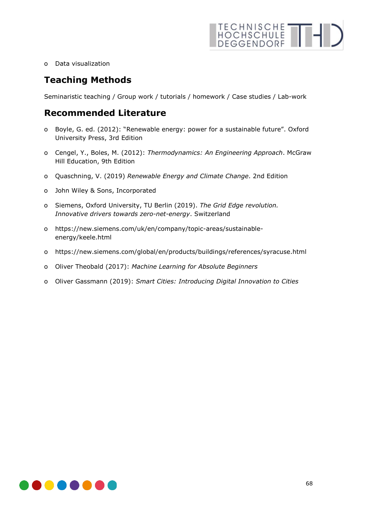

o Data visualization

## **Teaching Methods**

Seminaristic teaching / Group work / tutorials / homework / Case studies / Lab-work

## **Recommended Literature**

- o Boyle, G. ed. (2012): "Renewable energy: power for a sustainable future". Oxford University Press, 3rd Edition
- o Cengel, Y., Boles, M. (2012): *Thermodynamics: An Engineering Approach*. McGraw Hill Education, 9th Edition
- o Quaschning, V. (2019) *Renewable Energy and Climate Change*. 2nd Edition
- o John Wiley & Sons, Incorporated
- o Siemens, Oxford University, TU Berlin (2019). *The Grid Edge revolution. Innovative drivers towards zero-net-energy*. Switzerland
- o https://new.siemens.com/uk/en/company/topic-areas/sustainableenergy/keele.html
- o https://new.siemens.com/global/en/products/buildings/references/syracuse.html
- o Oliver Theobald (2017): *Machine Learning for Absolute Beginners*
- o Oliver Gassmann (2019): *Smart Cities: Introducing Digital Innovation to Cities*

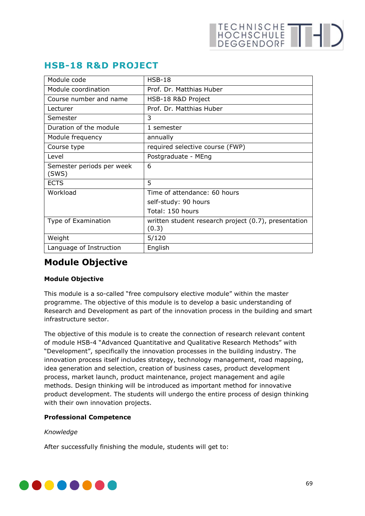# **HSB-18 R&D PROJECT**

| Module code                        | $HSB-18$                                                      |
|------------------------------------|---------------------------------------------------------------|
| Module coordination                | Prof. Dr. Matthias Huber                                      |
| Course number and name             | HSB-18 R&D Project                                            |
| Lecturer                           | Prof. Dr. Matthias Huber                                      |
| Semester                           | 3                                                             |
| Duration of the module             | 1 semester                                                    |
| Module frequency                   | annually                                                      |
| Course type                        | required selective course (FWP)                               |
| Level                              | Postgraduate - MEng                                           |
| Semester periods per week<br>(SWS) | 6                                                             |
| <b>ECTS</b>                        | 5                                                             |
| Workload                           | Time of attendance: 60 hours                                  |
|                                    | self-study: 90 hours                                          |
|                                    | Total: 150 hours                                              |
| Type of Examination                | written student research project (0.7), presentation<br>(0.3) |
| Weight                             | 5/120                                                         |
| Language of Instruction            | English                                                       |

# **Module Objective**

## **Module Objective**

This module is a so-called "free compulsory elective module" within the master programme. The objective of this module is to develop a basic understanding of Research and Development as part of the innovation process in the building and smart infrastructure sector.

The objective of this module is to create the connection of research relevant content of module HSB-4 "Advanced Quantitative and Qualitative Research Methods" with "Development", specifically the innovation processes in the building industry. The innovation process itself includes strategy, technology management, road mapping, idea generation and selection, creation of business cases, product development process, market launch, product maintenance, project management and agile methods. Design thinking will be introduced as important method for innovative product development. The students will undergo the entire process of design thinking with their own innovation projects.

## **Professional Competence**

### *Knowledge*

After successfully finishing the module, students will get to:

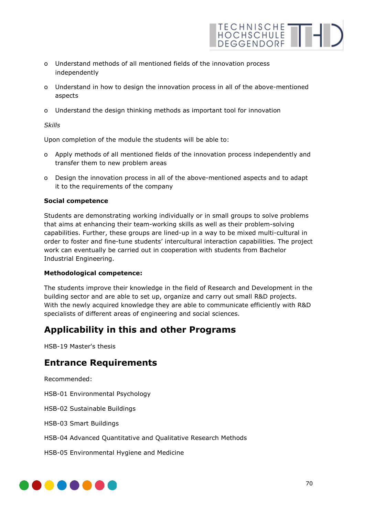- o Understand methods of all mentioned fields of the innovation process independently
- o Understand in how to design the innovation process in all of the above-mentioned aspects

HOCHSCHULE THE

o Understand the design thinking methods as important tool for innovation

*Skills* 

Upon completion of the module the students will be able to:

- o Apply methods of all mentioned fields of the innovation process independently and transfer them to new problem areas
- o Design the innovation process in all of the above-mentioned aspects and to adapt it to the requirements of the company

### **Social competence**

Students are demonstrating working individually or in small groups to solve problems that aims at enhancing their team-working skills as well as their problem-solving capabilities. Further, these groups are lined-up in a way to be mixed multi-cultural in order to foster and fine-tune students' intercultural interaction capabilities. The project work can eventually be carried out in cooperation with students from Bachelor Industrial Engineering.

### **Methodological competence:**

The students improve their knowledge in the field of Research and Development in the building sector and are able to set up, organize and carry out small R&D projects. With the newly acquired knowledge they are able to communicate efficiently with R&D specialists of different areas of engineering and social sciences.

## **Applicability in this and other Programs**

HSB-19 Master's thesis

## **Entrance Requirements**

Recommended:

HSB-01 Environmental Psychology

HSB-02 Sustainable Buildings

HSB-03 Smart Buildings

HSB-04 Advanced Quantitative and Qualitative Research Methods

HSB-05 Environmental Hygiene and Medicine

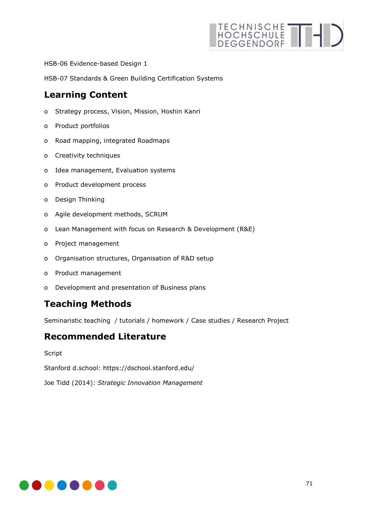HSB-06 Evidence-based Design 1

HSB-07 Standards & Green Building Certification Systems

## **Learning Content**

- o Strategy process, Vision, Mission, Hoshin Kanri
- o Product portfolios
- o Road mapping, integrated Roadmaps
- o Creativity techniques
- o Idea management, Evaluation systems
- o Product development process
- o Design Thinking
- o Agile development methods, SCRUM
- o Lean Management with focus on Research & Development (R&E)
- o Project management
- o Organisation structures, Organisation of R&D setup
- o Product management
- o Development and presentation of Business plans

## **Teaching Methods**

Seminaristic teaching / tutorials / homework / Case studies / Research Project

## **Recommended Literature**

Script

Stanford d.school: https://dschool.stanford.edu/

Joe Tidd (2014): *Strategic Innovation Management*

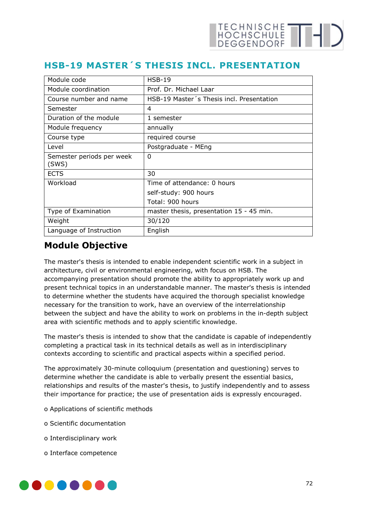# **HSB-19 MASTER´S THESIS INCL. PRESENTATION**

| Module code                        | $HSB-19$                                  |
|------------------------------------|-------------------------------------------|
| Module coordination                | Prof. Dr. Michael Laar                    |
| Course number and name             | HSB-19 Master's Thesis incl. Presentation |
| Semester                           | 4                                         |
| Duration of the module             | 1 semester                                |
| Module frequency                   | annually                                  |
| Course type                        | required course                           |
| Level                              | Postgraduate - MEng                       |
| Semester periods per week<br>(SWS) | 0                                         |
| <b>ECTS</b>                        | 30                                        |
| Workload                           | Time of attendance: 0 hours               |
|                                    | self-study: 900 hours                     |
|                                    | Total: 900 hours                          |
| Type of Examination                | master thesis, presentation 15 - 45 min.  |
| Weight                             | 30/120                                    |
| Language of Instruction            | English                                   |

## **Module Objective**

The master's thesis is intended to enable independent scientific work in a subject in architecture, civil or environmental engineering, with focus on HSB. The accompanying presentation should promote the ability to appropriately work up and present technical topics in an understandable manner. The master's thesis is intended to determine whether the students have acquired the thorough specialist knowledge necessary for the transition to work, have an overview of the interrelationship between the subject and have the ability to work on problems in the in-depth subject area with scientific methods and to apply scientific knowledge.

The master's thesis is intended to show that the candidate is capable of independently completing a practical task in its technical details as well as in interdisciplinary contexts according to scientific and practical aspects within a specified period.

The approximately 30-minute colloquium (presentation and questioning) serves to determine whether the candidate is able to verbally present the essential basics, relationships and results of the master's thesis, to justify independently and to assess their importance for practice; the use of presentation aids is expressly encouraged.

- o Applications of scientific methods
- o Scientific documentation
- o Interdisciplinary work
- o Interface competence